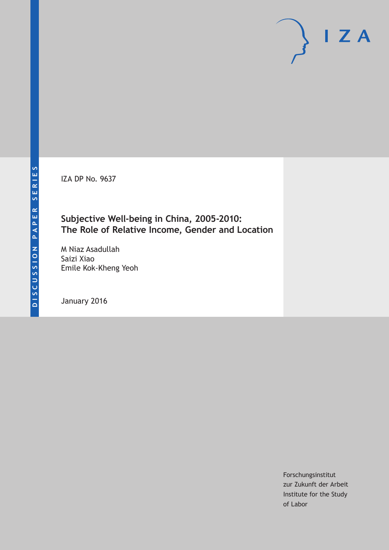IZA DP No. 9637

# **Subjective Well-being in China, 2005-2010: The Role of Relative Income, Gender and Location**

M Niaz Asadullah Saizi Xiao Emile Kok-Kheng Yeoh

January 2016

Forschungsinstitut zur Zukunft der Arbeit Institute for the Study of Labor

 $I Z A$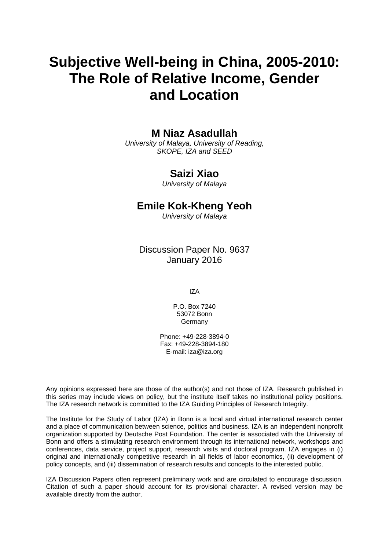# **Subjective Well-being in China, 2005-2010: The Role of Relative Income, Gender and Location**

# **M Niaz Asadullah**

*University of Malaya, University of Reading, SKOPE, IZA and SEED* 

# **Saizi Xiao**

*University of Malaya* 

# **Emile Kok-Kheng Yeoh**

*University of Malaya*

Discussion Paper No. 9637 January 2016

IZA

P.O. Box 7240 53072 Bonn Germany

Phone: +49-228-3894-0 Fax: +49-228-3894-180 E-mail: iza@iza.org

Any opinions expressed here are those of the author(s) and not those of IZA. Research published in this series may include views on policy, but the institute itself takes no institutional policy positions. The IZA research network is committed to the IZA Guiding Principles of Research Integrity.

The Institute for the Study of Labor (IZA) in Bonn is a local and virtual international research center and a place of communication between science, politics and business. IZA is an independent nonprofit organization supported by Deutsche Post Foundation. The center is associated with the University of Bonn and offers a stimulating research environment through its international network, workshops and conferences, data service, project support, research visits and doctoral program. IZA engages in (i) original and internationally competitive research in all fields of labor economics, (ii) development of policy concepts, and (iii) dissemination of research results and concepts to the interested public.

IZA Discussion Papers often represent preliminary work and are circulated to encourage discussion. Citation of such a paper should account for its provisional character. A revised version may be available directly from the author.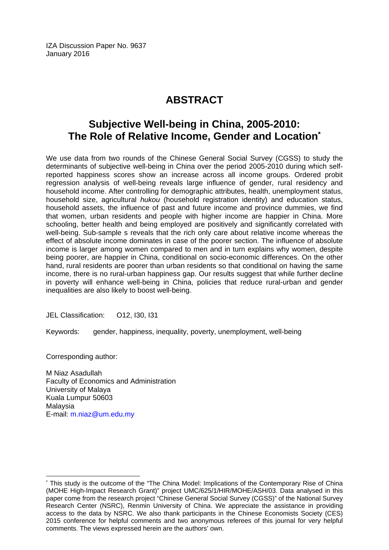IZA Discussion Paper No. 9637 January 2016

# **ABSTRACT**

# **Subjective Well-being in China, 2005-2010: The Role of Relative Income, Gender and Location\***

We use data from two rounds of the Chinese General Social Survey (CGSS) to study the determinants of subjective well-being in China over the period 2005-2010 during which selfreported happiness scores show an increase across all income groups. Ordered probit regression analysis of well-being reveals large influence of gender, rural residency and household income. After controlling for demographic attributes, health, unemployment status, household size, agricultural *hukou* (household registration identity) and education status, household assets, the influence of past and future income and province dummies, we find that women, urban residents and people with higher income are happier in China. More schooling, better health and being employed are positively and significantly correlated with well-being. Sub-sample s reveals that the rich only care about relative income whereas the effect of absolute income dominates in case of the poorer section. The influence of absolute income is larger among women compared to men and in turn explains why women, despite being poorer, are happier in China, conditional on socio-economic differences. On the other hand, rural residents are poorer than urban residents so that conditional on having the same income, there is no rural-urban happiness gap. Our results suggest that while further decline in poverty will enhance well-being in China, policies that reduce rural-urban and gender inequalities are also likely to boost well-being.

JEL Classification: O12, I30, I31

Keywords: gender, happiness, inequality, poverty, unemployment, well-being

Corresponding author:

 $\overline{a}$ 

M Niaz Asadullah Faculty of Economics and Administration University of Malaya Kuala Lumpur 50603 Malaysia E-mail: m.niaz@um.edu.my

<sup>\*</sup> This study is the outcome of the "The China Model: Implications of the Contemporary Rise of China (MOHE High-Impact Research Grant)" project UMC/625/1/HIR/MOHE/ASH/03. Data analysed in this paper come from the research project "Chinese General Social Survey (CGSS)" of the National Survey Research Center (NSRC), Renmin University of China. We appreciate the assistance in providing access to the data by NSRC. We also thank participants in the Chinese Economists Society (CES) 2015 conference for helpful comments and two anonymous referees of this journal for very helpful comments. The views expressed herein are the authors' own.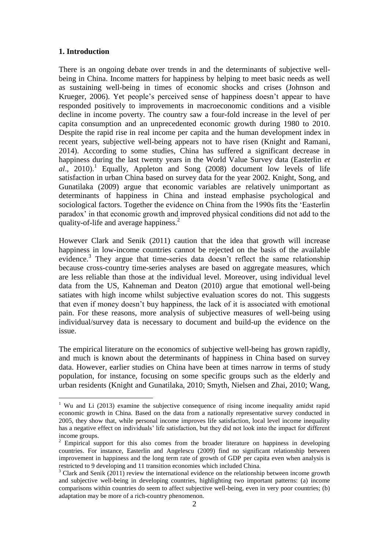#### **1. Introduction**

1

There is an ongoing debate over trends in and the determinants of subjective wellbeing in China. Income matters for happiness by helping to meet basic needs as well as sustaining well-being in times of economic shocks and crises (Johnson and Krueger, 2006). Yet people's perceived sense of happiness doesn't appear to have responded positively to improvements in macroeconomic conditions and a visible decline in income poverty. The country saw a four-fold increase in the level of per capita consumption and an unprecedented economic growth during 1980 to 2010. Despite the rapid rise in real income per capita and the human development index in recent years, subjective well-being appears not to have risen (Knight and Ramani, 2014). According to some studies, China has suffered a significant decrease in happiness during the last twenty years in the World Value Survey data (Easterlin *et*  al., 2010).<sup>1</sup> Equally, Appleton and Song (2008) document low levels of life satisfaction in urban China based on survey data for the year 2002. Knight, Song, and Gunatilaka (2009) argue that economic variables are relatively unimportant as determinants of happiness in China and instead emphasise psychological and sociological factors. Together the evidence on China from the 1990s fits the 'Easterlin paradox' in that economic growth and improved physical conditions did not add to the quality-of-life and average happiness.<sup>2</sup>

However Clark and Senik (2011) caution that the idea that growth will increase happiness in low-income countries cannot be rejected on the basis of the available evidence.<sup>3</sup> They argue that time-series data doesn't reflect the same relationship because cross-country time-series analyses are based on aggregate measures, which are less reliable than those at the individual level. Moreover, using individual level data from the US, Kahneman and Deaton (2010) argue that emotional well-being satiates with high income whilst subjective evaluation scores do not. This suggests that even if money doesn't buy happiness, the lack of it is associated with emotional pain. For these reasons, more analysis of subjective measures of well-being using individual/survey data is necessary to document and build-up the evidence on the issue.

The empirical literature on the economics of subjective well-being has grown rapidly, and much is known about the determinants of happiness in China based on survey data. However, earlier studies on China have been at times narrow in terms of study population, for instance, focusing on some specific groups such as the elderly and urban residents (Knight and Gunatilaka, 2010; Smyth, Nielsen and Zhai, 2010; Wang,

<sup>&</sup>lt;sup>1</sup> Wu and Li (2013) examine the subjective consequence of rising income inequality amidst rapid economic growth in China. Based on the data from a nationally representative survey conducted in 2005, they show that, while personal income improves life satisfaction, local level income inequality has a negative effect on individuals' life satisfaction, but they did not look into the impact for different income groups.

<sup>&</sup>lt;sup>2</sup> Empirical support for this also comes from the broader literature on happiness in developing countries. For instance, Easterlin and Angelescu (2009) find no significant relationship between improvement in happiness and the long term rate of growth of GDP per capita even when analysis is restricted to 9 developing and 11 transition economies which included China.

 $3$  Clark and Senik (2011) review the international evidence on the relationship between income growth and subjective well-being in developing countries, highlighting two important patterns: (a) income comparisons within countries do seem to affect subjective well-being, even in very poor countries; (b) adaptation may be more of a rich-country phenomenon.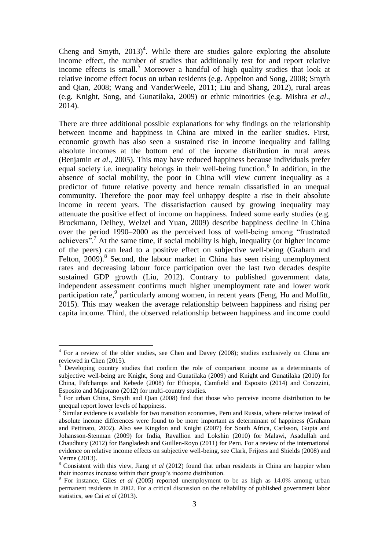Cheng and Smyth,  $2013)^4$ . While there are studies galore exploring the absolute income effect, the number of studies that additionally test for and report relative income effects is small.<sup>5</sup> Moreover a handful of high quality studies that look at relative income effect focus on urban residents (e.g. Appelton and Song, 2008; Smyth and Qian, 2008; Wang and VanderWeele, 2011; Liu and Shang, 2012), rural areas (e.g. Knight, Song, and Gunatilaka, 2009) or ethnic minorities (e.g. Mishra *et al*., 2014).

There are three additional possible explanations for why findings on the relationship between income and happiness in China are mixed in the earlier studies. First, economic growth has also seen a sustained rise in income inequality and falling absolute incomes at the bottom end of the income distribution in rural areas (Benjamin *et al*., 2005). This may have reduced happiness because individuals prefer equal society i.e. inequality belongs in their well-being function.<sup>6</sup> In addition, in the absence of social mobility, the poor in China will view current inequality as a predictor of future relative poverty and hence remain dissatisfied in an unequal community. Therefore the poor may feel unhappy despite a rise in their absolute income in recent years. The dissatisfaction caused by growing inequality may attenuate the positive effect of income on happiness. Indeed some early studies (e.g. Brockmann, Delhey, Welzel and Yuan, 2009) describe happiness decline in China over the period 1990–2000 as the perceived loss of well-being among "frustrated achievers".<sup>7</sup> At the same time, if social mobility is high, inequality (or higher income of the peers) can lead to a positive effect on subjective well-being (Graham and Felton, 2009).<sup>8</sup> Second, the labour market in China has seen rising unemployment rates and decreasing labour force participation over the last two decades despite sustained GDP growth (Liu, 2012). Contrary to published government data, independent assessment confirms much higher unemployment rate and lower work participation rate,<sup>9</sup> particularly among women, in recent years (Feng, Hu and Moffitt, 2015). This may weaken the average relationship between happiness and rising per capita income. Third, the observed relationship between happiness and income could

<sup>&</sup>lt;sup>4</sup> For a review of the older studies, see Chen and Davey (2008); studies exclusively on China are reviewed in Chen (2015).

<sup>&</sup>lt;sup>5</sup> Developing country studies that confirm the role of comparison income as a determinants of subjective well-being are Knight, Song and Gunatilaka (2009) and Knight and Gunatilaka (2010) for China, Fafchamps and Kebede (2008) for Ethiopia, Camfield and Esposito (2014) and Corazzini, Esposito and Majorano (2012) for multi-country studies.

 $6$  For urban China, Smyth and Qian (2008) find that those who perceive income distribution to be unequal report lower levels of happiness.

<sup>&</sup>lt;sup>7</sup> Similar evidence is available for two transition economies, Peru and Russia, where relative instead of absolute income differences were found to be more important as determinant of happiness (Graham and Pettinato, 2002). Also see Kingdon and Knight (2007) for South Africa, Carlsson, Gupta and Johansson-Stenman (2009) for India, Ravallion and Lokshin (2010) for Malawi, Asadullah and Chaudhury (2012) for Bangladesh and Guillen-Royo (2011) for Peru. For a review of the international evidence on relative income effects on subjective well-being, see Clark, Frijters and Shields (2008) and Verme (2013).

<sup>&</sup>lt;sup>8</sup> Consistent with this view, Jiang *et al* (2012) found that urban residents in China are happier when their incomes increase within their group's income distribution. 9 For instance, Giles *et al* (2005) reported unemployment to be as high as 14.0% among urban

permanent residents in 2002. For a critical discussion on the reliability of published government labor statistics, see Cai *et al* (2013).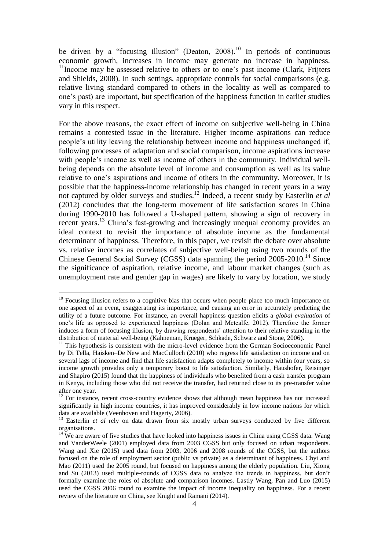be driven by a "focusing illusion" (Deaton, 2008).<sup>10</sup> In periods of continuous economic growth, increases in income may generate no increase in happiness.  $11$ Income may be assessed relative to others or to one's past income (Clark, Frijters and Shields, 2008). In such settings, appropriate controls for social comparisons (e.g. relative living standard compared to others in the locality as well as compared to one's past) are important, but specification of the happiness function in earlier studies vary in this respect.

For the above reasons, the exact effect of income on subjective well-being in China remains a contested issue in the literature. Higher income aspirations can reduce people's utility leaving the relationship between income and happiness unchanged if, following processes of adaptation and social comparison, income aspirations increase with people's income as well as income of others in the community. Individual wellbeing depends on the absolute level of income and consumption as well as its value relative to one's aspirations and income of others in the community. Moreover, it is possible that the happiness-income relationship has changed in recent years in a way not captured by older surveys and studies.<sup>12</sup> Indeed, a recent study by Easterlin *et al* (2012) concludes that the long-term movement of life satisfaction scores in China during 1990-2010 has followed a U-shaped pattern, showing a sign of recovery in recent years.<sup>13</sup> China's fast-growing and increasingly unequal economy provides an ideal context to revisit the importance of absolute income as the fundamental determinant of happiness. Therefore, in this paper, we revisit the debate over absolute vs. relative incomes as correlates of subjective well-being using two rounds of the Chinese General Social Survey (CGSS) data spanning the period  $2005-2010$ <sup>14</sup> Since the significance of aspiration, relative income, and labour market changes (such as unemployment rate and gender gap in wages) are likely to vary by location, we study

 $10$  Focusing illusion refers to a cognitive bias that occurs when people place too much importance on one aspect of an event, exaggerating its importance, and causing an error in accurately predicting the utility of a future outcome. For instance, an overall happiness question elicits a *global evaluation* of one's life as opposed to experienced happiness (Dolan and Metcalfe, 2012). Therefore the former induces a form of focusing illusion, by drawing respondents' attention to their relative standing in the distribution of material well-being (Kahneman, Krueger, Schkade, Schwarz and Stone, 2006).

 $11$  This hypothesis is consistent with the micro-level evidence from the German Socioeconomic Panel by Di Tella, Haisken–De New and MacCulloch (2010) who regress life satisfaction on income and on several lags of income and find that life satisfaction adapts completely to income within four years, so income growth provides only a temporary boost to life satisfaction. Similarly, Haushofer, Reisinger and Shapiro (2015) found that the happiness of individuals who benefited from a cash transfer program in Kenya, including those who did not receive the transfer, had returned close to its pre-transfer value after one year.

 $\frac{12}{12}$  For instance, recent cross-country evidence shows that although mean happiness has not increased significantly in high income countries, it has improved considerably in low income nations for which data are available (Veenhoven and Hagerty, 2006).

<sup>&</sup>lt;sup>13</sup> Easterlin *et al* rely on data drawn from six mostly urban surveys conducted by five different organisations.

<sup>&</sup>lt;sup>14</sup> We are aware of five studies that have looked into happiness issues in China using CGSS data. Wang and VanderWeele (2001) employed data from 2003 CGSS but only focused on urban respondents. Wang and Xie (2015) used data from 2003, 2006 and 2008 rounds of the CGSS, but the authors focused on the role of employment sector (public vs private) as a determinant of happiness. Chyi and Mao (2011) used the 2005 round, but focused on happiness among the elderly population. Liu, Xiong and Su (2013) used multiple-rounds of CGSS data to analyze the trends in happiness, but don't formally examine the roles of absolute and comparison incomes. Lastly Wang, Pan and Luo (2015) used the CGSS 2006 round to examine the impact of income inequality on happiness. For a recent review of the literature on China, see Knight and Ramani (2014).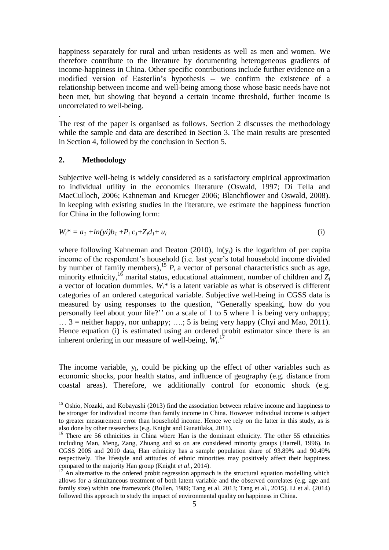happiness separately for rural and urban residents as well as men and women. We therefore contribute to the literature by documenting heterogeneous gradients of income-happiness in China. Other specific contributions include further evidence on a modified version of Easterlin's hypothesis -- we confirm the existence of a relationship between income and well-being among those whose basic needs have not been met, but showing that beyond a certain income threshold, further income is uncorrelated to well-being.

The rest of the paper is organised as follows. Section 2 discusses the methodology while the sample and data are described in Section 3. The main results are presented in Section 4, followed by the conclusion in Section 5.

#### **2. Methodology**

.

1

Subjective well-being is widely considered as a satisfactory empirical approximation to individual utility in the economics literature (Oswald, 1997; Di Tella and MacCulloch, 2006; Kahneman and Krueger 2006; Blanchflower and Oswald, 2008). In keeping with existing studies in the literature, we estimate the happiness function for China in the following form:

$$
W_i^* = a_1 + \ln(i)b_1 + P_i c_1 + Z_i d_1 + u_i \tag{i}
$$

where following Kahneman and Deaton (2010),  $ln(y_i)$  is the logarithm of per capita income of the respondent's household (i.e. last year's total household income divided by number of family members),<sup>15</sup>  $P_i$  a vector of personal characteristics such as age, minority ethnicity,<sup>16</sup> marital status, educational attainment, number of children and Z<sub>*i*</sub> a vector of location dummies. *Wi\** is a latent variable as what is observed is different categories of an ordered categorical variable. Subjective well-being in CGSS data is measured by using responses to the question, "Generally speaking, how do you personally feel about your life?'' on a scale of 1 to 5 where 1 is being very unhappy;  $\ldots$  3 = neither happy, nor unhappy;  $\ldots$ ; 5 is being very happy (Chyi and Mao, 2011). Hence equation (i) is estimated using an ordered probit estimator since there is an inherent ordering in our measure of well-being,  $W_i$ <sup>17</sup>

The income variable,  $y_i$ , could be picking up the effect of other variables such as economic shocks, poor health status, and influence of geography (e.g. distance from coastal areas). Therefore, we additionally control for economic shock (e.g.

<sup>&</sup>lt;sup>15</sup> Oshio, Nozaki, and Kobayashi (2013) find the association between relative income and happiness to be stronger for individual income than family income in China. However individual income is subject to greater measurement error than household income. Hence we rely on the latter in this study, as is also done by other researchers (e.g. Knight and Gunatilaka, 2011).

<sup>&</sup>lt;sup>16</sup> There are 56 ethnicities in China where Han is the dominant ethnicity. The other 55 ethnicities including Man, Meng, Zang, Zhuang and so on are considered minority groups (Harrell, 1996). In CGSS 2005 and 2010 data, Han ethnicity has a sample population share of 93.89% and 90.49% respectively. The lifestyle and attitudes of ethnic minorities may positively affect their happiness compared to the majority Han group (Knight *et al*., 2014).

<sup>&</sup>lt;sup>17</sup> An alternative to the ordered probit regression approach is the structural equation modelling which allows for a simultaneous treatment of both latent variable and the observed correlates (e.g. age and family size) within one framework (Bollen, 1989; Tang et al. 2013; Tang et al., 2015). Li et al. (2014) followed this approach to study the impact of environmental quality on happiness in China.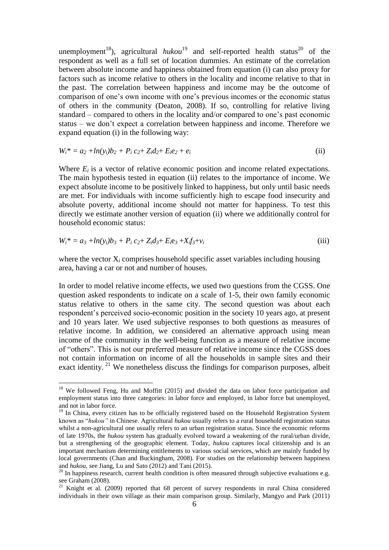unemployment<sup>18</sup>), agricultural  $hukou<sup>19</sup>$  and self-reported health status<sup>20</sup> of the respondent as well as a full set of location dummies. An estimate of the correlation between absolute income and happiness obtained from equation (i) can also proxy for factors such as income relative to others in the locality and income relative to that in the past. The correlation between happiness and income may be the outcome of comparison of one's own income with one's previous incomes or the economic status of others in the community (Deaton, 2008). If so, controlling for relative living standard – compared to others in the locality and/or compared to one's past economic status – we don't expect a correlation between happiness and income. Therefore we expand equation (i) in the following way:

$$
W_i^* = a_2 + \ln(y_i)b_2 + P_i c_2 + Z_i d_2 + E_i e_2 + e_i
$$
 (ii)

Where  $E_i$  is a vector of relative economic position and income related expectations. The main hypothesis tested in equation (ii) relates to the importance of income. We expect absolute income to be positively linked to happiness, but only until basic needs are met. For individuals with income sufficiently high to escape food insecurity and absolute poverty, additional income should not matter for happiness. To test this directly we estimate another version of equation (ii) where we additionally control for household economic status:

$$
W_i^* = a_3 + \ln(y_i)b_3 + P_i c_2 + Z_i d_3 + E_i e_3 + X_i f_3 + v_i
$$
 (iii)

where the vector  $X_i$  comprises household specific asset variables including housing area, having a car or not and number of houses.

In order to model relative income effects, we used two questions from the CGSS. One question asked respondents to indicate on a scale of 1-5, their own family economic status relative to others in the same city. The second question was about each respondent's perceived socio-economic position in the society 10 years ago, at present and 10 years later. We used subjective responses to both questions as measures of relative income. In addition, we considered an alternative approach using mean income of the community in the well-being function as a measure of relative income of "others". This is not our preferred measure of relative income since the CGSS does not contain information on income of all the households in sample sites and their exact identity.<sup>21</sup> We nonetheless discuss the findings for comparison purposes, albeit

<u>.</u>

<sup>&</sup>lt;sup>18</sup> We followed Feng, Hu and Moffitt (2015) and divided the data on labor force participation and employment status into three categories: in labor force and employed, in labor force but unemployed, and not in labor force.

 $19$  In China, every citizen has to be officially registered based on the Household Registration System known as "*hukou"* in Chinese. Agricultural *hukou* usually refers to a rural household registration status whilst a non-agricultural one usually refers to an urban registration status. Since the economic reforms of late 1970s, the *hukou* system has gradually evolved toward a weakening of the rural/urban divide, but a strengthening of the geographic element. Today, *hukou* captures local citizenship and is an important mechanism determining entitlements to various social services, which are mainly funded by local governments (Chan and Buckingham, 2008). For studies on the relationship between happiness and *hukou*, see Jiang, Lu and Sato (2012) and Tani (2015).

 $^{20}$  In happiness research, current health condition is often measured through subjective evaluations e.g. see Graham (2008).

 $21$  Knight et al. (2009) reported that 68 percent of survey respondents in rural China considered individuals in their own village as their main comparison group. Similarly, Mangyo and Park (2011)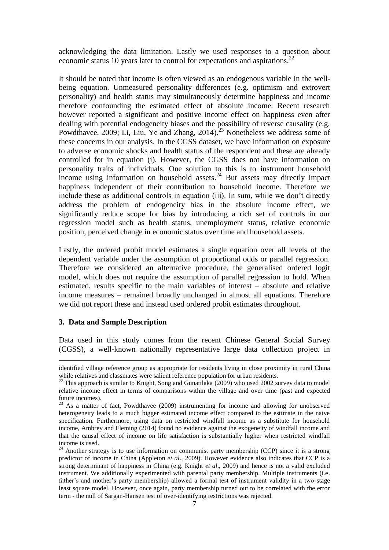acknowledging the data limitation. Lastly we used responses to a question about economic status 10 years later to control for expectations and aspirations.<sup>22</sup>

It should be noted that income is often viewed as an endogenous variable in the wellbeing equation. Unmeasured personality differences (e.g. optimism and extrovert personality) and health status may simultaneously determine happiness and income therefore confounding the estimated effect of absolute income. Recent research however reported a significant and positive income effect on happiness even after dealing with potential endogeneity biases and the possibility of reverse causality (e.g. Powdthavee, 2009; Li, Liu, Ye and Zhang,  $2014$ ).<sup>23</sup> Nonetheless we address some of these concerns in our analysis. In the CGSS dataset, we have information on exposure to adverse economic shocks and health status of the respondent and these are already controlled for in equation (i). However, the CGSS does not have information on personality traits of individuals. One solution to this is to instrument household income using information on household assets.<sup>24</sup> But assets may directly impact happiness independent of their contribution to household income. Therefore we include these as additional controls in equation (iii). In sum, while we don't directly address the problem of endogeneity bias in the absolute income effect, we significantly reduce scope for bias by introducing a rich set of controls in our regression model such as health status, unemployment status, relative economic position, perceived change in economic status over time and household assets.

Lastly, the ordered probit model estimates a single equation over all levels of the dependent variable under the assumption of proportional odds or parallel regression. Therefore we considered an alternative procedure, the generalised ordered logit model, which does not require the assumption of parallel regression to hold. When estimated, results specific to the main variables of interest – absolute and relative income measures – remained broadly unchanged in almost all equations. Therefore we did not report these and instead used ordered probit estimates throughout.

#### **3. Data and Sample Description**

<u>.</u>

Data used in this study comes from the recent Chinese General Social Survey (CGSS), a well-known nationally representative large data collection project in

identified village reference group as appropriate for residents living in close proximity in rural China while relatives and classmates were salient reference population for urban residents.

 $22$  This approach is similar to Knight, Song and Gunatilaka (2009) who used 2002 survey data to model relative income effect in terms of comparisons within the village and over time (past and expected future incomes).

 $23$  As a matter of fact, Powdthavee (2009) instrumenting for income and allowing for unobserved heterogeneity leads to a much bigger estimated income effect compared to the estimate in the naive specification. Furthermore, using data on restricted windfall income as a substitute for household income, Ambrey and Fleming (2014) found no evidence against the exogeneity of windfall income and that the causal effect of income on life satisfaction is substantially higher when restricted windfall income is used.

<sup>&</sup>lt;sup>24</sup> Another strategy is to use information on communist party membership (CCP) since it is a strong predictor of income in China (Appleton *et al*., 2009). However evidence also indicates that CCP is a strong determinant of happiness in China (e.g. Knight *et al*., 2009) and hence is not a valid excluded instrument. We additionally experimented with parental party membership. Multiple instruments (i.e. father's and mother's party membership) allowed a formal test of instrument validity in a two-stage least square model. However, once again, party membership turned out to be correlated with the error term - the null of Sargan-Hansen test of over-identifying restrictions was rejected.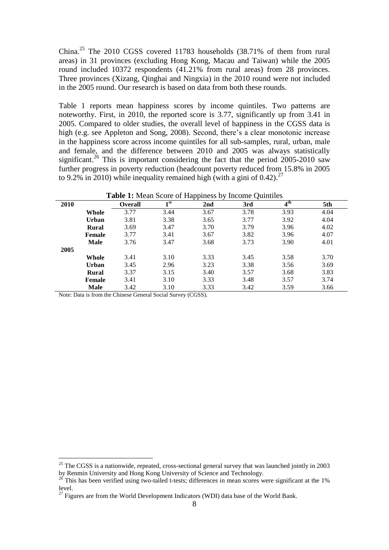China.<sup>25</sup> The 2010 CGSS covered 11783 households (38.71% of them from rural areas) in 31 provinces (excluding Hong Kong, Macau and Taiwan) while the 2005 round included 10372 respondents (41.21% from rural areas) from 28 provinces. Three provinces (Xizang, Qinghai and Ningxia) in the 2010 round were not included in the 2005 round. Our research is based on data from both these rounds.

Table 1 reports mean happiness scores by income quintiles. Two patterns are noteworthy. First, in 2010, the reported score is 3.77, significantly up from 3.41 in 2005. Compared to older studies, the overall level of happiness in the CGSS data is high (e.g. see Appleton and Song, 2008). Second, there's a clear monotonic increase in the happiness score across income quintiles for all sub-samples, rural, urban, male and female, and the difference between 2010 and 2005 was always statistically significant.<sup>26</sup> This is important considering the fact that the period 2005-2010 saw further progress in poverty reduction (headcount poverty reduced from 15.8% in 2005 to 9.2% in 2010) while inequality remained high (with a gini of 0.42).<sup>27</sup>

| 2010 |               | <b>Overall</b> | 1 <sup>st</sup> | . .<br>-<br>2 <sub>nd</sub> | ∼<br>3rd | $4^{\text{th}}$ | 5th  |
|------|---------------|----------------|-----------------|-----------------------------|----------|-----------------|------|
|      | Whole         | 3.77           | 3.44            | 3.67                        | 3.78     | 3.93            | 4.04 |
|      | <b>Urban</b>  | 3.81           | 3.38            | 3.65                        | 3.77     | 3.92            | 4.04 |
|      | <b>Rural</b>  | 3.69           | 3.47            | 3.70                        | 3.79     | 3.96            | 4.02 |
|      | <b>Female</b> | 3.77           | 3.41            | 3.67                        | 3.82     | 3.96            | 4.07 |
|      | <b>Male</b>   | 3.76           | 3.47            | 3.68                        | 3.73     | 3.90            | 4.01 |
| 2005 |               |                |                 |                             |          |                 |      |
|      | Whole         | 3.41           | 3.10            | 3.33                        | 3.45     | 3.58            | 3.70 |
|      | <b>Urban</b>  | 3.45           | 2.96            | 3.23                        | 3.38     | 3.56            | 3.69 |
|      | <b>Rural</b>  | 3.37           | 3.15            | 3.40                        | 3.57     | 3.68            | 3.83 |
|      | <b>Female</b> | 3.41           | 3.10            | 3.33                        | 3.48     | 3.57            | 3.74 |
|      | <b>Male</b>   | 3.42           | 3.10            | 3.33                        | 3.42     | 3.59            | 3.66 |

**Table 1:** Mean Score of Happiness by Income Quintiles

Note: Data is from the Chinese General Social Survey (CGSS).

<u>.</u>

 $25$  The CGSS is a nationwide, repeated, cross-sectional general survey that was launched jointly in 2003 by Renmin University and Hong Kong University of Science and Technology.

 $^{26}$  This has been verified using two-tailed t-tests; differences in mean scores were significant at the 1% level.

 $27$  Figures are from the World Development Indicators (WDI) data base of the World Bank.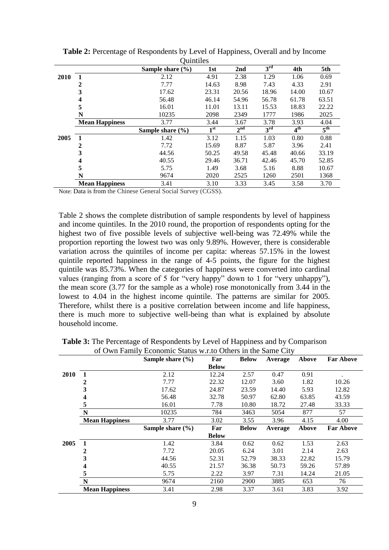|      |                       | <b>Oummes</b>        |                 |                 |                 |                 |                 |
|------|-----------------------|----------------------|-----------------|-----------------|-----------------|-----------------|-----------------|
|      |                       | Sample share $(\% )$ | 1st             | 2nd             | 3 <sup>rd</sup> | 4th             | 5th             |
| 2010 |                       | 2.12                 | 4.91            | 2.38            | 1.29            | 1.06            | 0.69            |
|      | 2                     | 7.77                 | 14.63           | 8.98            | 7.43            | 4.33            | 2.91            |
|      | 3                     | 17.62                | 23.31           | 20.56           | 18.96           | 14.00           | 10.67           |
|      | 4                     | 56.48                | 46.14           | 54.96           | 56.78           | 61.78           | 63.51           |
|      | 5                     | 16.01                | 11.01           | 13.11           | 15.53           | 18.83           | 22.22           |
|      | N                     | 10235                | 2098            | 2349            | 1777            | 1986            | 2025            |
|      | <b>Mean Happiness</b> | 3.77                 | 3.44            | 3.67            | 3.78            | 3.93            | 4.04            |
|      |                       | Sample share $(\% )$ | $\mathbf{1}$ st | 2 <sup>nd</sup> | 3 <sup>rd</sup> | 4 <sup>th</sup> | 5 <sup>th</sup> |
| 2005 | $\mathbf{1}$          | 1.42                 | 3.12            | 1.15            | 1.03            | 0.80            | 0.88            |
|      | 2                     | 7.72                 | 15.69           | 8.87            | 5.87            | 3.96            | 2.41            |
|      | 3                     | 44.56                | 50.25           | 49.58           | 45.48           | 40.66           | 33.19           |
|      | 4                     | 40.55                | 29.46           | 36.71           | 42.46           | 45.70           | 52.85           |
|      | 5                     | 5.75                 | 1.49            | 3.68            | 5.16            | 8.88            | 10.67           |
|      | N                     | 9674                 | 2020            | 2525            | 1260            | 2501            | 1368            |
|      | <b>Mean Happiness</b> | 3.41                 | 3.10            | 3.33            | 3.45            | 3.58            | 3.70            |

**Table 2:** Percentage of Respondents by Level of Happiness, Overall and by Income Quintiles

Note: Data is from the Chinese General Social Survey (CGSS).

Table 2 shows the complete distribution of sample respondents by level of happiness and income quintiles. In the 2010 round, the proportion of respondents opting for the highest two of five possible levels of subjective well-being was 72.49% while the proportion reporting the lowest two was only 9.89%. However, there is considerable variation across the quintiles of income per capita: whereas 57.15% in the lowest quintile reported happiness in the range of 4-5 points, the figure for the highest quintile was 85.73%. When the categories of happiness were converted into cardinal values (ranging from a score of 5 for "very happy" down to 1 for "very unhappy"), the mean score (3.77 for the sample as a whole) rose monotonically from 3.44 in the lowest to 4.04 in the highest income quintile. The patterns are similar for 2005. Therefore, whilst there is a positive correlation between income and life happiness, there is much more to subjective well-being than what is explained by absolute household income.

|      |                       | Sample share $(\% )$ | Far          | <b>Below</b> | Average | Above | <b>Far Above</b> |
|------|-----------------------|----------------------|--------------|--------------|---------|-------|------------------|
|      |                       |                      | <b>Below</b> |              |         |       |                  |
| 2010 | 1                     | 2.12                 | 12.24        | 2.57         | 0.47    | 0.91  |                  |
|      | 2                     | 7.77                 | 22.32        | 12.07        | 3.60    | 1.82  | 10.26            |
|      | 3                     | 17.62                | 24.87        | 23.59        | 14.40   | 5.93  | 12.82            |
|      | 4                     | 56.48                | 32.78        | 50.97        | 62.80   | 63.85 | 43.59            |
|      | 5                     | 16.01                | 7.78         | 10.80        | 18.72   | 27.48 | 33.33            |
|      | $\mathbf N$           | 10235                | 784          | 3463         | 5054    | 877   | 57               |
|      | <b>Mean Happiness</b> | 3.77                 | 3.02         | 3.55         | 3.96    | 4.15  | 4.00             |
|      |                       | Sample share $(\% )$ | Far          | <b>Below</b> | Average | Above | <b>Far Above</b> |
|      |                       |                      | <b>Below</b> |              |         |       |                  |
| 2005 | 1                     | 1.42                 | 3.84         | 0.62         | 0.62    | 1.53  | 2.63             |
|      | 2                     | 7.72                 | 20.05        | 6.24         | 3.01    | 2.14  | 2.63             |
|      | 3                     | 44.56                | 52.31        | 52.79        | 38.33   | 22.82 | 15.79            |
|      | 4                     | 40.55                | 21.57        | 36.38        | 50.73   | 59.26 | 57.89            |
|      | 5                     | 5.75                 | 2.22         | 3.97         | 7.31    | 14.24 | 21.05            |
|      | N                     | 9674                 | 2160         | 2900         | 3885    | 653   | 76               |
|      | <b>Mean Happiness</b> | 3.41                 | 2.98         | 3.37         | 3.61    | 3.83  | 3.92             |

**Table 3:** The Percentage of Respondents by Level of Happiness and by Comparison of Own Family Economic Status w.r.to Others in the Same City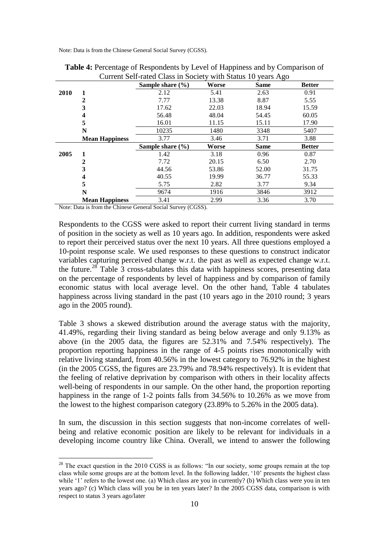Note: Data is from the Chinese General Social Survey (CGSS).

|      | Current Self-rated Class in Society with Status 10 years Ago |                      |       |             |               |  |  |  |  |  |  |
|------|--------------------------------------------------------------|----------------------|-------|-------------|---------------|--|--|--|--|--|--|
|      |                                                              | Sample share $(\% )$ | Worse | <b>Same</b> | <b>Better</b> |  |  |  |  |  |  |
| 2010 |                                                              | 2.12                 | 5.41  | 2.63        | 0.91          |  |  |  |  |  |  |
|      | 2                                                            | 7.77                 | 13.38 | 8.87        | 5.55          |  |  |  |  |  |  |
|      | 3                                                            | 17.62                | 22.03 | 18.94       | 15.59         |  |  |  |  |  |  |
|      | 4                                                            | 56.48                | 48.04 | 54.45       | 60.05         |  |  |  |  |  |  |
|      | 5                                                            | 16.01                | 11.15 | 15.11       | 17.90         |  |  |  |  |  |  |
|      | N                                                            | 10235                | 1480  | 3348        | 5407          |  |  |  |  |  |  |
|      | <b>Mean Happiness</b>                                        | 3.77                 | 3.46  | 3.71        | 3.88          |  |  |  |  |  |  |
|      |                                                              | Sample share $(\% )$ | Worse | <b>Same</b> | <b>Better</b> |  |  |  |  |  |  |
| 2005 |                                                              | 1.42                 | 3.18  | 0.96        | 0.87          |  |  |  |  |  |  |
|      | $\mathbf{2}$                                                 | 7.72                 | 20.15 | 6.50        | 2.70          |  |  |  |  |  |  |
|      | 3                                                            | 44.56                | 53.86 | 52.00       | 31.75         |  |  |  |  |  |  |
|      | 4                                                            | 40.55                | 19.99 | 36.77       | 55.33         |  |  |  |  |  |  |
|      | 5                                                            | 5.75                 | 2.82  | 3.77        | 9.34          |  |  |  |  |  |  |
|      | N                                                            | 9674                 | 1916  | 3846        | 3912          |  |  |  |  |  |  |
|      | <b>Mean Happiness</b>                                        | 3.41                 | 2.99  | 3.36        | 3.70          |  |  |  |  |  |  |

| <b>Table 4:</b> Percentage of Respondents by Level of Happiness and by Comparison of |
|--------------------------------------------------------------------------------------|
| Current Self-rated Class in Society with Status 10 years Ago                         |

Note: Data is from the Chinese General Social Survey (CGSS).

<u>.</u>

Respondents to the CGSS were asked to report their current living standard in terms of position in the society as well as 10 years ago. In addition, respondents were asked to report their perceived status over the next 10 years. All three questions employed a 10-point response scale. We used responses to these questions to construct indicator variables capturing perceived change w.r.t. the past as well as expected change w.r.t. the future. <sup>28</sup> Table 3 cross-tabulates this data with happiness scores, presenting data on the percentage of respondents by level of happiness and by comparison of family economic status with local average level. On the other hand, Table 4 tabulates happiness across living standard in the past (10 years ago in the 2010 round; 3 years ago in the 2005 round).

Table 3 shows a skewed distribution around the average status with the majority, 41.49%, regarding their living standard as being below average and only 9.13% as above (in the 2005 data, the figures are 52.31% and 7.54% respectively). The proportion reporting happiness in the range of 4-5 points rises monotonically with relative living standard, from 40.56% in the lowest category to 76.92% in the highest (in the 2005 CGSS, the figures are 23.79% and 78.94% respectively). It is evident that the feeling of relative deprivation by comparison with others in their locality affects well-being of respondents in our sample. On the other hand, the proportion reporting happiness in the range of 1-2 points falls from 34.56% to 10.26% as we move from the lowest to the highest comparison category (23.89% to 5.26% in the 2005 data).

In sum, the discussion in this section suggests that non-income correlates of wellbeing and relative economic position are likely to be relevant for individuals in a developing income country like China. Overall, we intend to answer the following

<sup>&</sup>lt;sup>28</sup> The exact question in the 2010 CGSS is as follows: "In our society, some groups remain at the top class while some groups are at the bottom level. In the following ladder, '10' presents the highest class while '1' refers to the lowest one. (a) Which class are you in currently? (b) Which class were you in ten years ago? (c) Which class will you be in ten years later? In the 2005 CGSS data, comparison is with respect to status 3 years ago/later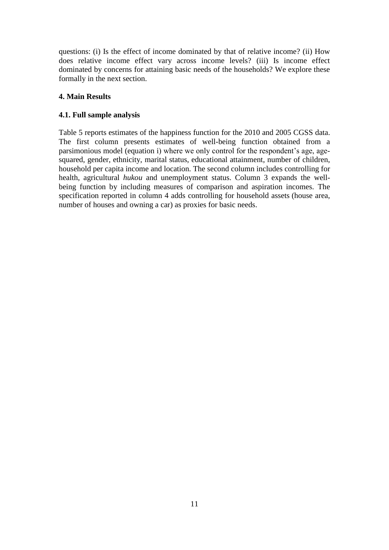questions: (i) Is the effect of income dominated by that of relative income? (ii) How does relative income effect vary across income levels? (iii) Is income effect dominated by concerns for attaining basic needs of the households? We explore these formally in the next section.

## **4. Main Results**

### **4.1. Full sample analysis**

Table 5 reports estimates of the happiness function for the 2010 and 2005 CGSS data. The first column presents estimates of well-being function obtained from a parsimonious model (equation i) where we only control for the respondent's age, agesquared, gender, ethnicity, marital status, educational attainment, number of children, household per capita income and location. The second column includes controlling for health, agricultural *hukou* and unemployment status. Column 3 expands the wellbeing function by including measures of comparison and aspiration incomes. The specification reported in column 4 adds controlling for household assets (house area, number of houses and owning a car) as proxies for basic needs.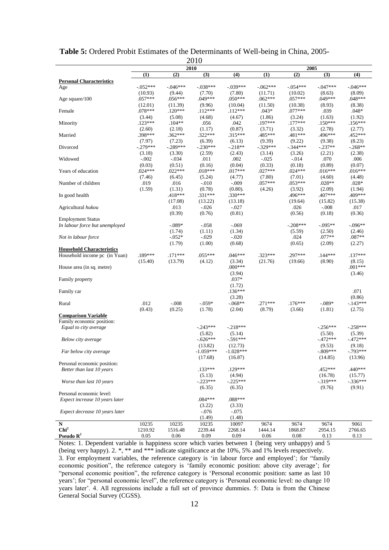|                                  |            |            | ∠∪l∪        | 2005        |            |            |                       |            |
|----------------------------------|------------|------------|-------------|-------------|------------|------------|-----------------------|------------|
|                                  | (1)        | (2)        | 2010<br>(3) | (4)         | (1)        | (2)        | (3)                   | (4)        |
| <b>Personal Characteristics</b>  |            |            |             |             |            |            |                       |            |
| Age                              | $-.052***$ | $-.046***$ | $-.038***$  | $-0.39***$  | $-.062***$ | $-.054***$ | $-.047***$            | $-.046***$ |
|                                  | (10.93)    | (9.44)     | (7.70)      | (7.80)      | (11.71)    | (10.02)    | (8.63)                | (8.09)     |
| Age square/100                   | $.057***$  | $.056***$  | .049***     | $.050***$   | $.062***$  | $.057***$  | $.049***$             | $.048***$  |
|                                  | (12.01)    | (11.39)    | (9.96)      | (10.04)     | (11.50)    | (10.38)    | (8.93)                | (8.38)     |
| Female                           | $.078***$  | $.120***$  | $.112***$   | $.112***$   | $.043*$    | $.077***$  | .039                  | $.048*$    |
|                                  | (3.44)     | (5.08)     | (4.68)      | (4.67)      | (1.86)     | (3.24)     | (1.63)                | (1.92)     |
| Minority                         | $.123***$  | $.104**$   | .056        | .042        | .197***    | $.177***$  | $.150***$             | $.156***$  |
|                                  | (2.60)     | (2.18)     | (1.17)      | (0.87)      | (3.71)     | (3.32)     | (2.78)                | (2.77)     |
| Married                          | .398***    | $.362***$  | $.322***$   | $.315***$   | .485***    | .481***    | .496***               | .452 ***   |
|                                  | (7.97)     | (7.23)     | (6.39)      | (6.13)      | (9.39)     | (9.22)     | (9.38)                | (8.23)     |
| Divorced                         | $-.279***$ | $-.289***$ | $-.230***$  | $-.218**$   | $-.329***$ | $-344***$  | $-.237**$             | $-.268**$  |
|                                  | (3.18)     | (3.30)     | (2.59)      | (2.43)      | (3.14)     | (3.26)     | (2.21)                | (2.38)     |
| Widowed                          | $-.002$    | $-.034$    | .011        | .002        | $-.025$    | $-0.014$   | .070                  | .006       |
|                                  | (0.03)     | (0.51)     | (0.16)      | (0.04)      | (0.33)     | (0.18)     | (0.89)                | (0.07)     |
| Years of education               | $.024***$  | $.022***$  | $.018***$   | $.017***$   | $.027***$  | $.024***$  | $.016***$             | $.016***$  |
|                                  | (7.46)     | (6.45)     | (5.24)      | (4.77)      | (7.80)     | (7.01)     | (4.60)                | (4.48)     |
| Number of children               | .019       | .016       | $-.010$     | $-.009$     | $.057***$  | $.053***$  | $.028**$              | $.028*$    |
|                                  | (1.59)     | (1.31)     | (0.78)      | $(0.80)$ .  | (4.26)     | (3.92)     | (2.09)                | (1.94)     |
| In good health                   |            | $.418***$  | $.331***$   | $.330***$   |            | .496***    | .407***               | .409***    |
|                                  |            | (17.08)    | (13.22)     | (13.18)     |            | (19.64)    | (15.82)               | (15.38)    |
| Agricultural hukou               |            | .013       | $-.026$     | $-.027$     |            | .026       | $-.008$               | .017       |
|                                  |            | (0.39)     | (0.76)      | (0.81)      |            | (0.56)     | (0.18)                | (0.36)     |
| <b>Employment Status</b>         |            |            |             |             |            |            |                       |            |
| In labour force but unemployed   |            | $-.089*$   | $-.058$     | $-.069$     |            | $-.208***$ | $-.095**$             | $-.096**$  |
|                                  |            | (1.74)     | (1.11)      | (1.34)      |            | (5.59)     | (2.50)                | (2.46)     |
| Not in labour force              |            | $-.052*$   | $-.029$     | $-.020$     |            | .024       | $.077**$              | $.087**$   |
|                                  |            | (1.79)     | (1.00)      | (0.68)      |            | (0.65)     | (2.09)                | (2.27)     |
| <b>Household Characteristics</b> |            |            |             |             |            |            |                       |            |
| Household income pc (in Yuan)    | .189***    | $.171***$  | $.055***$   | $.046***$   | $.323***$  | .297***    | $.144***$             | $.137***$  |
|                                  | (15.40)    | (13.79)    | (4.12)      | (3.34)      | (21.76)    | (19.66)    | (8.90)                | (8.15)     |
| House area (in sq. metre)        |            |            |             | $.000***$   |            |            |                       | $.001***$  |
|                                  |            |            |             | (3.94)      |            |            |                       | (3.46)     |
| Family property                  |            |            |             | $.037*$     |            |            |                       |            |
|                                  |            |            |             | (1.72)      |            |            |                       |            |
| Family car                       |            |            |             | $.136***$   |            |            |                       | .071       |
|                                  |            |            |             | (3.28)      |            |            |                       | (0.86)     |
| Rural                            | .012       | $-.008$    | $-.059*$    | $-.068**$   | $.271***$  | $.176***$  | $-.089*$              | $-143***$  |
|                                  | (0.43)     | (0.25)     | (1.78)      | (2.04)      | (8.79)     | (3.66)     | (1.81)                | (2.75)     |
| <b>Comparison Variable</b>       |            |            |             |             |            |            |                       |            |
| Family economic position:        |            |            |             |             |            |            |                       |            |
| Equal to city average            |            |            | $-.243***$  | $-218***$   |            |            | $-.256***$            | $-.258***$ |
|                                  |            |            | (5.82)      | (5.14)      |            |            | (5.50)                | (5.39)     |
|                                  |            |            | $-.626***$  | $-.591***$  |            |            | $-472***$             | $-.472***$ |
| Below city average               |            |            | (13.82)     | (12.73)     |            |            | (9.53)                | (9.18)     |
|                                  |            |            | $-1.059***$ | $-1.028***$ |            |            | $-.809***$            | $-.793***$ |
| Far below city average           |            |            | (17.68)     |             |            |            | (14.85)               |            |
|                                  |            |            |             | (16.87)     |            |            |                       | (13.96)    |
| Personal economic position:      |            |            |             | $.129***$   |            |            | .452***               | .440***    |
| Better than last 10 years        |            |            | $.133***$   |             |            |            |                       |            |
|                                  |            |            | (5.13)      | (4.94)      |            |            | (16.78)<br>$-.319***$ | (15.77)    |
| Worse than last 10 years         |            |            | $-.223***$  | $-.225***$  |            |            |                       | $-.336***$ |
|                                  |            |            | (6.35)      | (6.35)      |            |            | (9.76)                | (9.91)     |
| Personal economic level:         |            |            |             |             |            |            |                       |            |
| Expect increase 10 years later   |            |            | $.084***$   | $.088***$   |            |            |                       |            |
|                                  |            |            | (3.22)      | (3.33)      |            |            |                       |            |
| Expect decrease 10 years later   |            |            | $-.076$     | $-.075$     |            |            |                       |            |
|                                  |            |            | (1.49)      | (1.48)      |            |            |                       |            |
| ${\bf N}$                        | 10235      | 10235      | 10235       | 10097       | 9674       | 9674       | 9674                  | 9061       |
| $\mathbf{Chi}^2$                 | 1210.92    | 1516.48    | 2239.44     | 2268.14     | 1444.14    | 1868.87    | 2954.15               | 2766.65    |
| Pseudo $\mathbb{R}^2$            | 0.05       | 0.06       | 0.09        | 0.09        | 0.06       | 0.08       | 0.13                  | 0.13       |

**Table 5:** Ordered Probit Estimates of the Determinants of Well-being in China, 2005-  $2010$ 

Notes: 1. Dependent variable is happiness score which varies between 1 (being very unhappy) and 5 (being very happy). 2. \*, \*\* and \*\*\* indicate significance at the 10%, 5% and 1% levels respectively. 3. For employment variables, the reference category is 'in labour force and employed'; for "family" economic position", the reference category is 'family economic position: above city average'; for "personal economic position", the reference category is 'Personal economic position: same as last 10 years'; for "personal economic level", the reference category is 'Personal economic level: no change 10 years later'. 4. All regressions include a full set of province dummies. 5: Data is from the Chinese General Social Survey (CGSS).

l,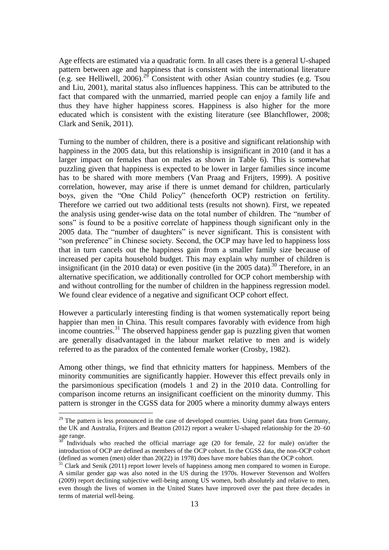Age effects are estimated via a quadratic form. In all cases there is a general U-shaped pattern between age and happiness that is consistent with the international literature (e.g. see Helliwell, 2006).<sup>29</sup> Consistent with other Asian country studies (e.g. Tsou and Liu, 2001), marital status also influences happiness. This can be attributed to the fact that compared with the unmarried, married people can enjoy a family life and thus they have higher happiness scores. Happiness is also higher for the more educated which is consistent with the existing literature (see Blanchflower, 2008; Clark and Senik, 2011).

Turning to the number of children, there is a positive and significant relationship with happiness in the 2005 data, but this relationship is insignificant in 2010 (and it has a larger impact on females than on males as shown in Table 6). This is somewhat puzzling given that happiness is expected to be lower in larger families since income has to be shared with more members (Van Praag and Frijters, 1999). A positive correlation, however, may arise if there is unmet demand for children, particularly boys, given the "One Child Policy" (henceforth OCP) restriction on fertility. Therefore we carried out two additional tests (results not shown). First, we repeated the analysis using gender-wise data on the total number of children. The "number of sons" is found to be a positive correlate of happiness though significant only in the 2005 data. The "number of daughters" is never significant. This is consistent with "son preference" in Chinese society. Second, the OCP may have led to happiness loss that in turn cancels out the happiness gain from a smaller family size because of increased per capita household budget. This may explain why number of children is insignificant (in the 2010 data) or even positive (in the 2005 data). <sup>30</sup> Therefore, in an alternative specification, we additionally controlled for OCP cohort membership with and without controlling for the number of children in the happiness regression model. We found clear evidence of a negative and significant OCP cohort effect.

However a particularly interesting finding is that women systematically report being happier than men in China. This result compares favorably with evidence from high income countries.<sup>31</sup> The observed happiness gender gap is puzzling given that women are generally disadvantaged in the labour market relative to men and is widely referred to as the paradox of the contented female worker (Crosby, 1982).

Among other things, we find that ethnicity matters for happiness. Members of the minority communities are significantly happier. However this effect prevails only in the parsimonious specification (models 1 and 2) in the 2010 data. Controlling for comparison income returns an insignificant coefficient on the minority dummy. This pattern is stronger in the CGSS data for 2005 where a minority dummy always enters

<sup>&</sup>lt;sup>29</sup> The pattern is less pronounced in the case of developed countries. Using panel data from Germany, the UK and Australia, Frijters and Beatton (2012) report a weaker U-shaped relationship for the 20–60 age range.

Individuals who reached the official marriage age (20 for female, 22 for male) on/after the introduction of OCP are defined as members of the OCP cohort. In the CGSS data, the non-OCP cohort (defined as women (men) older than 20(22) in 1978) does have more babies than the OCP cohort.

 $31$  Clark and Senik (2011) report lower levels of happiness among men compared to women in Europe. A similar gender gap was also noted in the US during the 1970s. However Stevenson and Wolfers (2009) report declining subjective well-being among US women, both absolutely and relative to men, even though the lives of women in the United States have improved over the past three decades in terms of material well-being.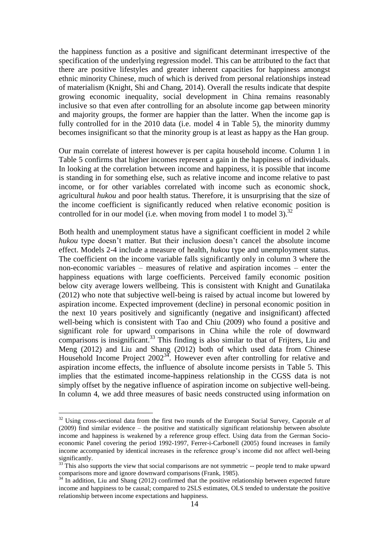the happiness function as a positive and significant determinant irrespective of the specification of the underlying regression model. This can be attributed to the fact that there are positive lifestyles and greater inherent capacities for happiness amongst ethnic minority Chinese, much of which is derived from personal relationships instead of materialism (Knight, Shi and Chang, 2014). Overall the results indicate that despite growing economic inequality, social development in China remains reasonably inclusive so that even after controlling for an absolute income gap between minority and majority groups, the former are happier than the latter. When the income gap is fully controlled for in the 2010 data (i.e. model 4 in Table 5), the minority dummy becomes insignificant so that the minority group is at least as happy as the Han group.

Our main correlate of interest however is per capita household income. Column 1 in Table 5 confirms that higher incomes represent a gain in the happiness of individuals. In looking at the correlation between income and happiness, it is possible that income is standing in for something else, such as relative income and income relative to past income, or for other variables correlated with income such as economic shock, agricultural *hukou* and poor health status. Therefore, it is unsurprising that the size of the income coefficient is significantly reduced when relative economic position is controlled for in our model (i.e. when moving from model 1 to model 3). $32$ 

Both health and unemployment status have a significant coefficient in model 2 while *hukou* type doesn't matter. But their inclusion doesn't cancel the absolute income effect. Models 2-4 include a measure of health, *hukou* type and unemployment status. The coefficient on the income variable falls significantly only in column 3 where the non-economic variables – measures of relative and aspiration incomes – enter the happiness equations with large coefficients. Perceived family economic position below city average lowers wellbeing. This is consistent with Knight and Gunatilaka (2012) who note that subjective well-being is raised by actual income but lowered by aspiration income. Expected improvement (decline) in personal economic position in the next 10 years positively and significantly (negative and insignificant) affected well-being which is consistent with Tao and Chiu (2009) who found a positive and significant role for upward comparisons in China while the role of downward comparisons is insignificant. <sup>33</sup> This finding is also similar to that of Frijters, Liu and Meng (2012) and Liu and Shang (2012) both of which used data from Chinese Household Income Project  $2002^{34}$ . However even after controlling for relative and aspiration income effects, the influence of absolute income persists in Table 5. This implies that the estimated income-happiness relationship in the CGSS data is not simply offset by the negative influence of aspiration income on subjective well-being. In column 4, we add three measures of basic needs constructed using information on

<sup>&</sup>lt;sup>32</sup> Using cross-sectional data from the first two rounds of the European Social Survey, Caporale *et al* (2009) find similar evidence – the positive and statistically significant relationship between absolute income and happiness is weakened by a reference group effect. Using data from the German Socioeconomic Panel covering the period 1992-1997, Ferrer-i-Carbonell (2005) found increases in family income accompanied by identical increases in the reference group's income did not affect well-being significantly.

<sup>&</sup>lt;sup>33</sup> This also supports the view that social comparisons are not symmetric -- people tend to make upward comparisons more and ignore downward comparisons (Frank, 1985).

 $34$  In addition, Liu and Shang (2012) confirmed that the positive relationship between expected future income and happiness to be causal; compared to 2SLS estimates, OLS tended to understate the positive relationship between income expectations and happiness.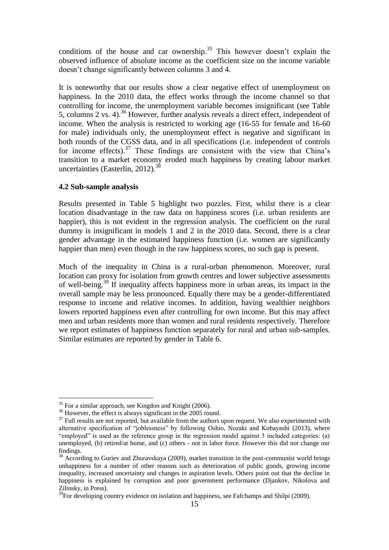conditions of the house and car ownership.<sup>35</sup> This however doesn't explain the observed influence of absolute income as the coefficient size on the income variable doesn't change significantly between columns 3 and 4.

It is noteworthy that our results show a clear negative effect of unemployment on happiness. In the 2010 data, the effect works through the income channel so that controlling for income, the unemployment variable becomes insignificant (see Table 5, columns 2 vs. 4).<sup>36</sup> However, further analysis reveals a direct effect, independent of income. When the analysis is restricted to working age (16-55 for female and 16-60 for male) individuals only, the unemployment effect is negative and significant in both rounds of the CGSS data, and in all specifications (i.e. independent of controls for income effects). $37$  These findings are consistent with the view that China's transition to a market economy eroded much happiness by creating labour market uncertainties (Easterlin, 2012). $38$ 

#### **4.2 Sub-sample analysis**

Results presented in Table 5 highlight two puzzles. First, whilst there is a clear location disadvantage in the raw data on happiness scores (i.e. urban residents are happier), this is not evident in the regression analysis. The coefficient on the rural dummy is insignificant in models 1 and 2 in the 2010 data. Second, there is a clear gender advantage in the estimated happiness function (i.e. women are significantly happier than men) even though in the raw happiness scores, no such gap is present.

Much of the inequality in China is a rural-urban phenomenon. Moreover, rural location can proxy for isolation from growth centres and lower subjective assessments of well-being. <sup>39</sup> If inequality affects happiness more in urban areas, its impact in the overall sample may be less pronounced. Equally there may be a gender-differentiated response to income and relative incomes. In addition, having wealthier neighbors lowers reported happiness even after controlling for own income. But this may affect men and urban residents more than women and rural residents respectively. Therefore we report estimates of happiness function separately for rural and urban sub-samples. Similar estimates are reported by gender in Table 6.

<sup>&</sup>lt;sup>35</sup> For a similar approach, see Kingdon and Knight (2006).

<sup>&</sup>lt;sup>36</sup> However, the effect is always significant in the 2005 round.

<sup>&</sup>lt;sup>37</sup> Full results are not reported, but available from the authors upon request. We also experimented with alternative specification of "joblessness" by following Oshio, Nozaki and Kobayashi (2013), where "employed" is used as the reference group in the regression model against 3 included categories: (a) unemployed, (b) retired/at home, and (c) others - not in labor force. However this did not change our findings.

<sup>&</sup>lt;sup>38</sup> According to Guriev and Zhuravskaya (2009), market transition in the post-communist world brings unhappiness for a number of other reasons such as deterioration of public goods, growing income inequality, increased uncertainty and changes in aspiration levels. Others point out that the decline in happiness is explained by corruption and poor government performance (Djankov, Nikolova and Zilinsky, in Press).

<sup>&</sup>lt;sup>39</sup>For developing country evidence on isolation and happiness, see Fafchamps and Shilpi (2009).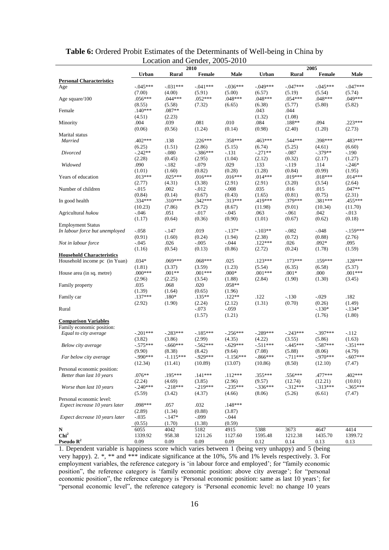|                                  |                   | $E_{\rm \sim 0.000}$ and $E_{\rm \sim 0.000}$ | 2010              | 2010               |                     |                | 2005              |                |
|----------------------------------|-------------------|-----------------------------------------------|-------------------|--------------------|---------------------|----------------|-------------------|----------------|
|                                  | <b>Urban</b>      | <b>Rural</b>                                  | Female            | Male               | <b>Urban</b>        | Rural          | <b>Female</b>     | Male           |
| <b>Personal Characteristics</b>  |                   |                                               |                   |                    |                     |                |                   |                |
| Age                              | $-.045***$        | $-.031***$                                    | $-.041***$        | $-.036***$         | $-.049***$          | $-0.47***$     | $-.045***$        | $-.047***$     |
|                                  | (7.00)            | (4.00)                                        | (5.91)            | (5.00)             | (6.57)              | (5.19)         | (5.54)            | (5.74)         |
| Age square/100                   | $.056***$         | $.044***$                                     | $.052***$         | $.048***$          | $.048***$           | $.054***$      | $.048***$         | $.049***$      |
|                                  | (8.55)            | (5.58)                                        | (7.32)            | (6.65)             | (6.38)              | (5.77)         | (5.80)            | (5.82)         |
| Female                           | $.140***$         | $.087**$                                      |                   |                    | .043                | .044           |                   |                |
|                                  | (4.51)            | (2.23)                                        |                   |                    | (1.32)              | (1.08)         |                   |                |
| Minority                         | .004              | .039                                          | $.081$            | .010               | .084                | .188**         | .094              | $.223***$      |
|                                  | (0.06)            | (0.56)                                        | (1.24)            | (0.14)             | (0.98)              | (2.40)         | (1.20)            | (2.73)         |
| Marital status                   |                   |                                               |                   |                    |                     |                |                   |                |
| Married                          | $.402***$         | .138                                          | $.226***$         | $.358***$          | .463***             | .544 ***       | .398***           | .483***        |
|                                  | (6.25)            | (1.51)                                        | (2.86)            | (5.15)             | (6.74)              | (5.25)         | (4.61)            | (6.60)         |
| Divorced                         | $-.242**$         | $-.080$                                       | $-386***$         | $-131$             | $-.271**$           | $-.087$        | $-.379**$         | $-.190$        |
|                                  | (2.28)            | (0.45)                                        | (2.95)            | (1.04)             | (2.12)              | (0.32)         | (2.17)            | (1.27)         |
| Widowed                          | .090              | $-.182$                                       | $-.079$           | .029               | .133                | $-.119$        | .114              | $-.246*$       |
|                                  | (1.01)            | (1.60)                                        | (0.82)            | (0.28)             | (1.28)              | (0.84)         | (0.99)            | (1.95)         |
| Years of education               | $.013***$         | $.025***$                                     | $.016***$         | $.016***$          | $.014***$           | .019***        | $.018***$         | $.014***$      |
|                                  | (2.77)            | (4.31)                                        | (3.38)            | (2.91)             | (2.91)              | (3.20)         | (3.54)            | (2.64)         |
| Number of children               | $-0.015$          | .002                                          | $-.012$           | $-0.08$            | .035                | .016           | .015              | $.047**$       |
|                                  | (0.84)            | (0.14)                                        | (0.67)            | (0.43)             | (1.65)              | (0.81)         | (0.75)            | (2.31)         |
| In good health                   | $.334***$         | $.310***$                                     | $.342***$         | $.313***$          | .419***             | $.379***$      | .381***           | .455***        |
|                                  | (10.23)           | (7.86)                                        | (9.72)            | (8.67)             | (11.98)             | (9.01)         | (10.34)           | (11.70)        |
| Agricultural hukou               | $-.046$           | .051                                          | $-.017$           | $-0.045$           | .063                | $-.061$        | .042              | $-0.013$       |
|                                  | (1.17)            | (0.64)                                        | (0.36)            | (0.90)             | (1.01)              | (0.67)         | (0.62)            | (0.18)         |
| <b>Employment Status</b>         |                   |                                               | .019              |                    |                     |                |                   |                |
| In labour force but unemployed   | $-.058$           | $-.147$                                       |                   | $-137*$            | $-103**$            | $-.082$        | $-.048$           | $-.159***$     |
|                                  | (0.91)<br>$-.045$ | (1.60)<br>.026                                | (0.24)<br>$-.005$ | (1.94)<br>$-0.044$ | (2.38)<br>$.122***$ | (0.72)<br>.026 | (0.88)<br>$.092*$ | (2.76)<br>.095 |
| Not in labour force              |                   | (0.54)                                        | (0.13)            | (0.86)             | (2.72)              |                | (1.78)            | (1.59)         |
| <b>Household Characteristics</b> | (1.16)            |                                               |                   |                    |                     | (0.24)         |                   |                |
| Household income pc (in Yuan)    | $.034*$           | $.069***$                                     | $.068***$         | .025               | $.123***$           | $.173***$      | $.159***$         | $.128***$      |
|                                  | (1.81)            | (3.37)                                        | (3.59)            | (1.23)             | (5.54)              | (6.35)         | (6.58)            | (5.37)         |
| House area (in sq. metre)        | $.000***$         | $.001**$                                      | $.001***$         | $.000*$            | $.001***$           | $.001*$        | .000              | $.001***$      |
|                                  | (2.96)            | (2.25)                                        | (3.54)            | (1.88)             | (2.84)              | (1.90)         | (1.30)            | (3.45)         |
| Family property                  | .035              | .068                                          | .020              | $.058**$           |                     |                |                   |                |
|                                  | (1.39)            | (1.64)                                        | (0.65)            | (1.96)             |                     |                |                   |                |
| Family car                       | $.137***$         | $.180*$                                       | $.135**$          | $.122**$           | .122                | $-.130$        | $-.029$           | .182           |
|                                  | (2.92)            | (1.90)                                        | (2.24)            | (2.12)             | (1.31)              | (0.70)         | (0.26)            | (1.49)         |
| Rural                            |                   |                                               | $-.073$           | $-.059$            |                     |                | $-.130*$          | $-.134*$       |
|                                  |                   |                                               | (1.57)            | (1.21)             |                     |                | (1.76)            | (1.80)         |
| <b>Comparison Variables</b>      |                   |                                               |                   |                    |                     |                |                   |                |
| Family economic position:        |                   |                                               |                   |                    |                     |                |                   |                |
| Equal to city average            | $-.201***$        | $-.283***$                                    | $-.185***$        | $-.256***$         | $-.289***$          | $-.243***$     | $-.397***$        | $-112$         |
|                                  | (3.82)            | (3.86)                                        | (2.99)            | (4.35)             | (4.22)              | (3.55)         | (5.86)            | (1.63)         |
| Below city average               | $-.575***$        | $-.660***$                                    | $-.562***$        | $-.629***$         | $-.511***$          | $-445***$      | $-.587***$        | $-351***$      |
|                                  | (9.90)            | (8.38)                                        | (8.42)            | (9.64)             | (7.08)              | (5.88)         | (8.06)            | (4.79)         |
| Far below city average           | $-.990***$        | $-1.115***$                                   | $-.929***$        | $-1.156***$        | $-.866***$          | $-.711***$     | $-.970***$        | $-.607***$     |
|                                  | (12.34)           | (11.41)                                       | (10.89)           | (13.07)            | (10.86)             | (8.50)         | (12.10)           | (7.47)         |
| Personal economic position:      |                   |                                               |                   |                    |                     |                |                   |                |
| Better than last 10 years        | $.076**$          | .195***                                       | $.141***$         | $.112***$          | $.355***$           | .556***        | $.477***$         | $.402***$      |
|                                  | (2.24)            | (4.69)                                        | (3.85)            | (2.96)             | (9.57)              | (12.74)        | (12.21)           | (10.01)        |
| Worse than last 10 years         | $-.240***$        | $-.218***$                                    | $-.219***$        | $-.235***$         | $-.336***$          | $-312***$      | $-.313***$        | $-365***$      |
|                                  | (5.59)            | (3.42)                                        | (4.37)            | (4.66)             | (8.06)              | (5.26)         | (6.61)            | (7.47)         |
| Personal economic level:         |                   |                                               |                   |                    |                     |                |                   |                |
| Expect increase 10 years later   | .098***           | .057                                          | .032              | $.148***$          |                     |                |                   |                |
|                                  | (2.89)            | (1.34)                                        | (0.88)            | (3.87)             |                     |                |                   |                |
| Expect decrease 10 years later   | $-.035$           | $-.147*$                                      | $-.099$           | $-.044$            |                     |                |                   |                |
|                                  | (0.55)            | (1.70)                                        | (1.38)            | (0.59)             |                     |                |                   |                |
| ${\bf N}$<br>Chi <sup>2</sup>    | 6055              | 4042                                          | 5182              | 4915               | 5388                | 3673           | 4647              | 4414           |
|                                  | 1339.92           | 958.38                                        | 1211.26           | 1127.60            | 1595.48             | 1212.38        | 1435.70           | 1399.72        |
| Pseudo $\mathbf{R}^2$            | 0.09              | 0.09                                          | 0.09              | 0.09               | 0.12                | 0.14           | 0.13              | 0.13           |

### **Table 6:** Ordered Probit Estimates of the Determinants of Well-being in China by Location and Gender, 2005-2010

1. Dependent variable is happiness score which varies between 1 (being very unhappy) and 5 (being very happy). 2. \*, \*\* and \*\*\* indicate significance at the 10%, 5% and 1% levels respectively. 3. For employment variables, the reference category is 'in labour force and employed'; for "family economic position", the reference category is 'family economic position: above city average'; for "personal economic position", the reference category is 'Personal economic position: same as last 10 years'; for "personal economic level", the reference category is 'Personal economic level: no change 10 years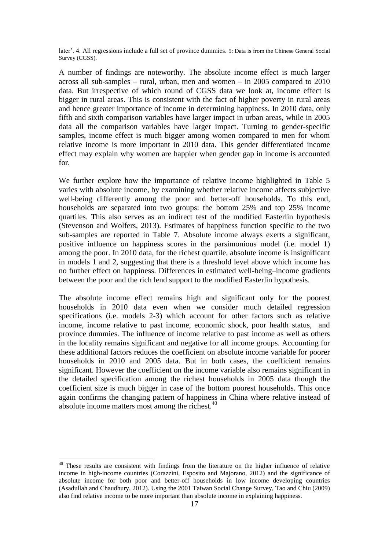later'. 4. All regressions include a full set of province dummies. 5: Data is from the Chinese General Social Survey (CGSS).

A number of findings are noteworthy. The absolute income effect is much larger across all sub-samples – rural, urban, men and women – in 2005 compared to 2010 data. But irrespective of which round of CGSS data we look at, income effect is bigger in rural areas. This is consistent with the fact of higher poverty in rural areas and hence greater importance of income in determining happiness. In 2010 data, only fifth and sixth comparison variables have larger impact in urban areas, while in 2005 data all the comparison variables have larger impact. Turning to gender-specific samples, income effect is much bigger among women compared to men for whom relative income is more important in 2010 data. This gender differentiated income effect may explain why women are happier when gender gap in income is accounted for.

We further explore how the importance of relative income highlighted in Table 5 varies with absolute income, by examining whether relative income affects subjective well-being differently among the poor and better-off households. To this end, households are separated into two groups: the bottom 25% and top 25% income quartiles. This also serves as an indirect test of the modified Easterlin hypothesis (Stevenson and Wolfers, 2013). Estimates of happiness function specific to the two sub-samples are reported in Table 7. Absolute income always exerts a significant, positive influence on happiness scores in the parsimonious model (i.e. model 1) among the poor. In 2010 data, for the richest quartile, absolute income is insignificant in models 1 and 2, suggesting that there is a threshold level above which income has no further effect on happiness. Differences in estimated well-being–income gradients between the poor and the rich lend support to the modified Easterlin hypothesis.

The absolute income effect remains high and significant only for the poorest households in 2010 data even when we consider much detailed regression specifications (i.e. models 2-3) which account for other factors such as relative income, income relative to past income, economic shock, poor health status, and province dummies. The influence of income relative to past income as well as others in the locality remains significant and negative for all income groups. Accounting for these additional factors reduces the coefficient on absolute income variable for poorer households in 2010 and 2005 data. But in both cases, the coefficient remains significant. However the coefficient on the income variable also remains significant in the detailed specification among the richest households in 2005 data though the coefficient size is much bigger in case of the bottom poorest households. This once again confirms the changing pattern of happiness in China where relative instead of absolute income matters most among the richest.<sup>40</sup>

<u>.</u>

<sup>&</sup>lt;sup>40</sup> These results are consistent with findings from the literature on the higher influence of relative income in high-income countries (Corazzini, Esposito and Majorano, 2012) and the significance of absolute income for both poor and better-off households in low income developing countries (Asadullah and Chaudhury, 2012). Using the 2001 Taiwan Social Change Survey, Tao and Chiu (2009) also find relative income to be more important than absolute income in explaining happiness.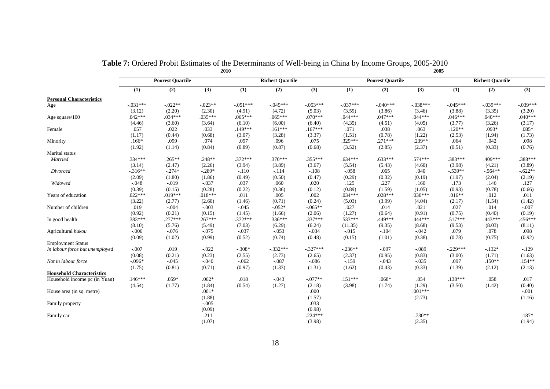|                                  |            | <b>Fabic 7.</b> Ordered From Estimates of the Determinants of Wen-being in Clinia by income Groups, 2009-2010 |            | 2010       |                         |            |            | 2005                    |            |            |                         |                  |
|----------------------------------|------------|---------------------------------------------------------------------------------------------------------------|------------|------------|-------------------------|------------|------------|-------------------------|------------|------------|-------------------------|------------------|
|                                  |            | <b>Poorest Quartile</b>                                                                                       |            |            | <b>Richest Quartile</b> |            |            | <b>Poorest Quartile</b> |            |            | <b>Richest Quartile</b> |                  |
|                                  | (1)        | $\overline{(2)}$                                                                                              | (3)        | (1)        | (2)                     | (3)        | (1)        | $\overline{(2)}$        | (3)        | (1)        | (2)                     | $\overline{(3)}$ |
| <b>Personal Characteristics</b>  |            |                                                                                                               |            |            |                         |            |            |                         |            |            |                         |                  |
| Age                              | $-.031***$ | $-0.022**$                                                                                                    | $-0.023**$ | $-.051***$ | $-.049***$              | $-.053***$ | $-.037***$ | $-.040***$              | $-.038***$ | $-.045***$ | $-.039***$              | $-.039***$       |
|                                  | (3.12)     | (2.20)                                                                                                        | (2.30)     | (4.91)     | (4.72)                  | (5.03)     | (3.59)     | (3.86)                  | (3.46)     | (3.88)     | (3.35)                  | (3.20)           |
| Age square/100                   | $.042***$  | $.034***$                                                                                                     | $.035***$  | $.065***$  | $.065***$               | $.070***$  | $.044***$  | $.047***$               | $.044***$  | $.046***$  | $.040***$               | $.040***$        |
|                                  | (4.46)     | (3.60)                                                                                                        | (3.64)     | (6.10)     | (6.00)                  | (6.40)     | (4.35)     | (4.51)                  | (4.05)     | (3.77)     | (3.26)                  | (3.17)           |
| Female                           | .057       | .022                                                                                                          | .033       | $.149***$  | $.161***$               | $.167***$  | .071       | .038                    | .063       | $.120**$   | $.093*$                 | $.085*$          |
|                                  | (1.17)     | (0.44)                                                                                                        | (0.68)     | (3.07)     | (3.28)                  | (3.37)     | (1.51)     | (0.78)                  | (1.22)     | (2.53)     | (1.94)                  | (1.73)           |
| Minority                         | $.166*$    | .099                                                                                                          | .074       | .097       | .096                    | .075       | $.329***$  | $.271***$               | .239**     | .064       | .042                    | .098             |
|                                  | (1.92)     | (1.14)                                                                                                        | (0.84)     | (0.89)     | (0.87)                  | (0.68)     | (3.52)     | (2.85)                  | (2.37)     | (0.51)     | (0.33)                  | (0.76)           |
| Marital status                   |            |                                                                                                               |            |            |                         |            |            |                         |            |            |                         |                  |
| Married                          | $.334***$  | $.265***$                                                                                                     | $.248**$   | $.372***$  | $.370***$               | $.355***$  | $.634***$  | $.633***$               | $.574***$  | .383***    | .409***                 | .388***          |
|                                  | (3.14)     | (2.47)                                                                                                        | (2.26)     | (3.94)     | (3.89)                  | (3.67)     | (5.54)     | (5.43)                  | (4.60)     | (3.98)     | (4.21)                  | (3.89)           |
| Divorced                         | $-.316**$  | $-.274*$                                                                                                      | $-.289*$   | $-.110$    | $-.114$                 | $-.108$    | $-.058$    | .065                    | .040       | $-539**$   | $-0.564**$              | $-.622**$        |
|                                  | (2.09)     | (1.80)                                                                                                        | (1.86)     | (0.49)     | (0.50)                  | (0.47)     | (0.29)     | (0.32)                  | (0.19)     | (1.97)     | (2.04)                  | (2.19)           |
| Widowed                          | $-.048$    | $-.019$                                                                                                       | $-.037$    | .037       | .060                    | .020       | .125       | .227                    | .160       | .173       | .146                    | .127             |
|                                  | (0.39)     | (0.15)                                                                                                        | (0.28)     | (0.22)     | (0.36)                  | (0.12)     | (0.89)     | (1.59)                  | (1.05)     | (0.93)     | (0.78)                  | (0.66)           |
| Years of education               | $.022***$  | $.019***$                                                                                                     | $.018***$  | .011       | .005                    | .002       | $.034***$  | $.028***$               | $.030***$  | $.016**$   | .012                    | .011             |
|                                  | (3.22)     | (2.77)                                                                                                        | (2.60)     | (1.46)     | (0.71)                  | (0.24)     | (5.03)     | (3.99)                  | (4.04)     | (2.17)     | (1.54)                  | (1.42)           |
| Number of children               | .019       | $-.004$                                                                                                       | $-.003$    | $-0.045$   | $-0.052*$               | $-0.065**$ | .027       | .014                    | .021       | .027       | .014                    | $-.007$          |
|                                  | (0.92)     | (0.21)                                                                                                        | (0.15)     | (1.45)     | (1.66)                  | (2.06)     | (1.27)     | (0.64)                  | (0.91)     | (0.75)     | (0.40)                  | (0.19)           |
| In good health                   | .383***    | $.277***$                                                                                                     | $.267***$  | $.372***$  | $.336***$               | .337***    | .533***    | .449***                 | .444***    | $.517***$  | .443 ***                | .456***          |
|                                  | (8.10)     | (5.76)                                                                                                        | (5.49)     | (7.03)     | (6.29)                  | (6.24)     | (11.35)    | (9.35)                  | (8.68)     | (9.53)     | (8.03)                  | (8.11)           |
| Agricultural hukou               | $-.006$    | $-.076$                                                                                                       | $-.075$    | $-.037$    | $-.053$                 | $-.034$    | $-.015$    | $-.104$                 | $-.042$    | .079       | .078                    | .098             |
|                                  | (0.09)     | (1.02)                                                                                                        | (0.99)     | (0.52)     | (0.74)                  | (0.48)     | (0.15)     | (1.01)                  | (0.38)     | (0.78)     | (0.75)                  | (0.92)           |
| <b>Employment Status</b>         |            |                                                                                                               |            |            |                         |            |            |                         |            |            |                         |                  |
| In labour force but unemployed   | $-.007$    | .019                                                                                                          | $-.022$    | $-.308*$   | $-.332***$              | $-.327***$ | $-0.236**$ | $-.097$                 | $-.089$    | $-.229***$ | $-132*$                 | $-129$           |
|                                  | (0.08)     | (0.21)                                                                                                        | (0.23)     | (2.55)     | (2.73)                  | (2.65)     | (2.37)     | (0.95)                  | (0.83)     | (3.00)     | (1.71)                  | (1.63)           |
| Not in labour force              | $-.096*$   | $-.045$                                                                                                       | $-.040$    | $-.062$    | $-.087$                 | $-.086$    | $-159$     | $-.043$                 | $-.035$    | .097       | $.150**$                | $.154**$         |
|                                  | (1.75)     | (0.81)                                                                                                        | (0.71)     | (0.97)     | (1.33)                  | (1.31)     | (1.62)     | (0.43)                  | (0.33)     | (1.39)     | (2.12)                  | (2.13)           |
| <b>Household Characteristics</b> |            |                                                                                                               |            |            |                         |            |            |                         |            |            |                         |                  |
| Household income pc (in Yuan)    | $.146***$  | $.059*$                                                                                                       | $.062*$    | .018       | $-.043$                 | $-.077**$  | $.151***$  | $.068*$                 | .054       | $.138***$  | .058                    | .017             |
|                                  | (4.54)     | (1.77)                                                                                                        | (1.84)     | (0.54)     | (1.27)                  | (2.18)     | (3.98)     | (1.74)                  | (1.29)     | (3.50)     | (1.42)                  | (0.40)           |
| House area (in sq. metre)        |            |                                                                                                               | $.001*$    |            |                         | .000       |            |                         | $.001***$  |            |                         | $-.001$          |
|                                  |            |                                                                                                               | (1.88)     |            |                         | (1.57)     |            |                         | (2.73)     |            |                         | (1.16)           |
| Family property                  |            |                                                                                                               | $-.005$    |            |                         | .033       |            |                         |            |            |                         |                  |
|                                  |            |                                                                                                               | (0.09)     |            |                         | (0.98)     |            |                         |            |            |                         |                  |
| Family car                       |            |                                                                                                               | .211       |            |                         | $.224***$  |            |                         | $-.730**$  |            |                         | .187*            |
|                                  |            |                                                                                                               | (1.07)     |            |                         | (3.98)     |            |                         | (2.35)     |            |                         | (1.94)           |
|                                  |            |                                                                                                               |            |            |                         |            |            |                         |            |            |                         |                  |

**Table 7:** Ordered Probit Estimates of the Determinants of Well-being in China by Income Groups, 2005-2010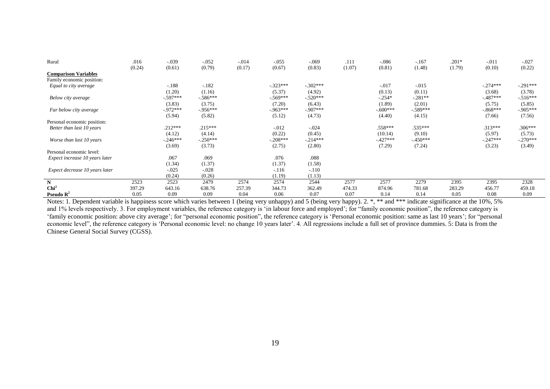| Rural                          | .016   | $-.039$     | $-.052$    | $-.014$ | $-.055$    | $-.069$    | .111   | $-.086$    | $-167$     | $.201*$ | $-.011$    | $-.027$    |
|--------------------------------|--------|-------------|------------|---------|------------|------------|--------|------------|------------|---------|------------|------------|
|                                | (0.24) | (0.61)      | (0.79)     | (0.17)  | (0.67)     | (0.83)     | (1.07) | (0.81)     | (1.48)     | (1.79)  | (0.10)     | (0.22)     |
| <b>Comparison Variables</b>    |        |             |            |         |            |            |        |            |            |         |            |            |
| Family economic position:      |        |             |            |         |            |            |        |            |            |         |            |            |
| Equal to city average          |        | $-.188$     | $-182$     |         | $-.323***$ | $-.302***$ |        | $-.017$    | $-0.015$   |         | $-.274***$ | $-.291***$ |
|                                |        | (1.20)      | (1.16)     |         | (5.37)     | (4.92)     |        | (0.13)     | (0.11)     |         | (3.68)     | (3.78)     |
| Below city average             |        | $-597***$   | $-586***$  |         | $-569***$  | $-520***$  |        | $-.254*$   | $-.281**$  |         | $-487***$  | $-516***$  |
|                                |        | (3.83)      | (3.75)     |         | (7.20)     | (6.43)     |        | (1.89)     | (2.01)     |         | (5.75)     | (5.85)     |
| Far below city average         |        | $-972***$   | $-956***$  |         | $-963***$  | $-907***$  |        | $-.600***$ | $-589***$  |         | $-868***$  | $-905***$  |
|                                |        | (5.94)      | (5.82)     |         | (5.12)     | (4.73)     |        | (4.40)     | (4.15)     |         | (7.66)     | (7.56)     |
| Personal economic position:    |        |             |            |         |            |            |        |            |            |         |            |            |
| Better than last 10 years      |        | $.212***$   | $.215***$  |         | $-.012$    | $-.024$    |        | $.558***$  | .535***    |         | $.313***$  | $.306***$  |
|                                |        | (4.12)      | (4.14)     |         | (0.22)     | (0.45)     |        | (10.14)    | (9.10)     |         | (5.97)     | (5.73)     |
| Worse than last 10 years       |        | $-0.246***$ | $-.250***$ |         | $-.208***$ | $-214***$  |        | $-427***$  | $-.450***$ |         | $-.247***$ | $-.270***$ |
|                                |        | (3.69)      | (3.73)     |         | (2.75)     | (2.80)     |        | (7.29)     | (7.24)     |         | (3.23)     | (3.49)     |
| Personal economic level:       |        |             |            |         |            |            |        |            |            |         |            |            |
| Expect increase 10 years later |        | .067        | .069       |         | .076       | .088       |        |            |            |         |            |            |
|                                |        | (1.34)      | (1.37)     |         | (1.37)     | (1.58)     |        |            |            |         |            |            |
| Expect decrease 10 years later |        | $-.025$     | $-.028$    |         | $-116$     | $-.110$    |        |            |            |         |            |            |
|                                |        | (0.24)      | (0.26)     |         | (1.19)     | (1.13)     |        |            |            |         |            |            |
| N                              | 2523   | 2523        | 2479       | 2574    | 2574       | 2544       | 2577   | 2577       | 2279       | 2395    | 2395       | 2328       |
| Chi <sup>2</sup>               | 397.29 | 643.16      | 638.76     | 257.39  | 344.73     | 362.49     | 474.33 | 874.96     | 781.68     | 283.29  | 456.77     | 459.18     |
| Pseudo $\mathbb{R}^2$          | 0.05   | 0.09        | 0.09       | 0.04    | 0.06       | 0.07       | 0.07   | 0.14       | 0.14       | 0.05    | 0.08       | 0.09       |

Notes: 1. Dependent variable is happiness score which varies between 1 (being very unhappy) and 5 (being very happy). 2. \*, \*\* and \*\*\* indicate significance at the 10%, 5% and 1% levels respectively. 3. For employment variables, the reference category is 'in labour force and employed'; for "family economic position", the reference category is 'family economic position: above city average'; for "personal economic position", the reference category is 'Personal economic position: same as last 10 years'; for "personal economic level", the reference category is 'Personal economic level: no change 10 years later'. 4. All regressions include a full set of province dummies. 5: Data is from the Chinese General Social Survey (CGSS).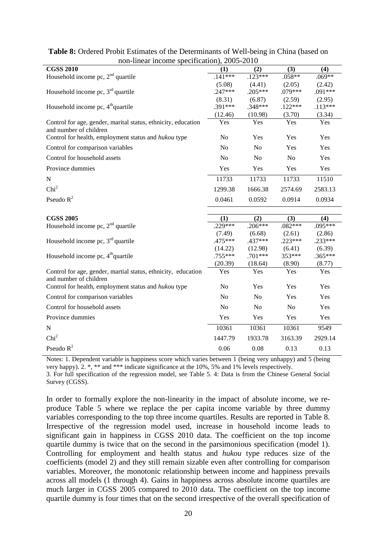| $\mu$ on- $\mu$ near $\mu$ come specification), 2005-2010                               |           |                |                |           |  |  |  |  |  |  |  |
|-----------------------------------------------------------------------------------------|-----------|----------------|----------------|-----------|--|--|--|--|--|--|--|
| <b>CGSS 2010</b>                                                                        | (1)       | (2)            | (3)            | (4)       |  |  |  |  |  |  |  |
| Household income pc, 2 <sup>nd</sup> quartile                                           | $.141***$ | $.123***$      | $.058**$       | $.069**$  |  |  |  |  |  |  |  |
|                                                                                         | (5.08)    | (4.41)         | (2.05)         | (2.42)    |  |  |  |  |  |  |  |
| Household income pc, $3rd$ quartile                                                     | $.247***$ | $.205***$      | .079***        | $.091***$ |  |  |  |  |  |  |  |
|                                                                                         | (8.31)    | (6.87)         | (2.59)         | (2.95)    |  |  |  |  |  |  |  |
| Household income pc, 4 <sup>th</sup> quartile                                           | $.391***$ | .348***        | $.122***$      | $.113***$ |  |  |  |  |  |  |  |
|                                                                                         | (12.46)   | (10.98)        | (3.70)         | (3.34)    |  |  |  |  |  |  |  |
| Control for age, gender, marital status, ethnicity, education<br>and number of children | Yes       | Yes            | Yes            | Yes       |  |  |  |  |  |  |  |
| Control for health, employment status and hukou type                                    | No        | Yes            | Yes            | Yes       |  |  |  |  |  |  |  |
| Control for comparison variables                                                        | No        | N <sub>o</sub> | Yes            | Yes       |  |  |  |  |  |  |  |
| Control for household assets                                                            | No        | N <sub>o</sub> | N <sub>o</sub> | Yes       |  |  |  |  |  |  |  |
| Province dummies                                                                        | Yes       | Yes            | Yes            | Yes       |  |  |  |  |  |  |  |
| N                                                                                       | 11733     | 11733          | 11733          | 11510     |  |  |  |  |  |  |  |
| Chi <sup>2</sup>                                                                        | 1299.38   | 1666.38        | 2574.69        | 2583.13   |  |  |  |  |  |  |  |
| Pseudo $R^2$                                                                            | 0.0461    | 0.0592         | 0.0914         | 0.0934    |  |  |  |  |  |  |  |
|                                                                                         |           |                |                |           |  |  |  |  |  |  |  |
| <b>CGSS 2005</b>                                                                        | (1)       | (2)            | (3)            | (4)       |  |  |  |  |  |  |  |
| Household income pc, $2nd$ quartile                                                     | $.229***$ | $.206***$      | $.082***$      | $.095***$ |  |  |  |  |  |  |  |
|                                                                                         | (7.49)    | (6.68)         | (2.61)         | (2.86)    |  |  |  |  |  |  |  |
| Household income pc, $3rd$ quartile                                                     | .475***   | .437***        | $.223***$      | .233***   |  |  |  |  |  |  |  |
|                                                                                         | (14.22)   | (12.98)        | (6.41)         | (6.39)    |  |  |  |  |  |  |  |
| Household income pc, 4 <sup>th</sup> quartile                                           | .755***   | .701***        | 353***         | $.365***$ |  |  |  |  |  |  |  |
|                                                                                         | (20.39)   | (18.64)        | (8.90)         | (8.77)    |  |  |  |  |  |  |  |
| Control for age, gender, martial status, ethnicity, education                           | Yes       | Yes            | Yes            | Yes       |  |  |  |  |  |  |  |
| and number of children<br>Control for health, employment status and hukou type          | No        | Yes            | Yes            | Yes       |  |  |  |  |  |  |  |
| Control for comparison variables                                                        | No        | N <sub>o</sub> | Yes            | Yes       |  |  |  |  |  |  |  |
| Control for household assets                                                            | No        | N <sub>o</sub> | N <sub>o</sub> | Yes       |  |  |  |  |  |  |  |
| Province dummies                                                                        | Yes       | Yes            | Yes            | Yes       |  |  |  |  |  |  |  |
| ${\bf N}$                                                                               | 10361     | 10361          | 10361          | 9549      |  |  |  |  |  |  |  |
| Chi <sup>2</sup>                                                                        | 1447.79   | 1933.78        | 3163.39        | 2929.14   |  |  |  |  |  |  |  |
| Pseudo $R^2$                                                                            | 0.06      | 0.08           | 0.13           | 0.13      |  |  |  |  |  |  |  |

### **Table 8:** Ordered Probit Estimates of the Determinants of Well-being in China (based on non-linear income specification), 2005-2010

Notes: 1. Dependent variable is happiness score which varies between 1 (being very unhappy) and 5 (being very happy). 2. \*, \*\* and \*\*\* indicate significance at the 10%, 5% and 1% levels respectively.

3. For full specification of the regression model, see Table 5. 4: Data is from the Chinese General Social Survey (CGSS).

In order to formally explore the non-linearity in the impact of absolute income, we reproduce Table 5 where we replace the per capita income variable by three dummy variables corresponding to the top three income quartiles. Results are reported in Table 8. Irrespective of the regression model used, increase in household income leads to significant gain in happiness in CGSS 2010 data. The coefficient on the top income quartile dummy is twice that on the second in the parsimonious specification (model 1). Controlling for employment and health status and *hukou* type reduces size of the coefficients (model 2) and they still remain sizable even after controlling for comparison variables. Moreover, the monotonic relationship between income and happiness prevails across all models (1 through 4). Gains in happiness across absolute income quartiles are much larger in CGSS 2005 compared to 2010 data. The coefficient on the top income quartile dummy is four times that on the second irrespective of the overall specification of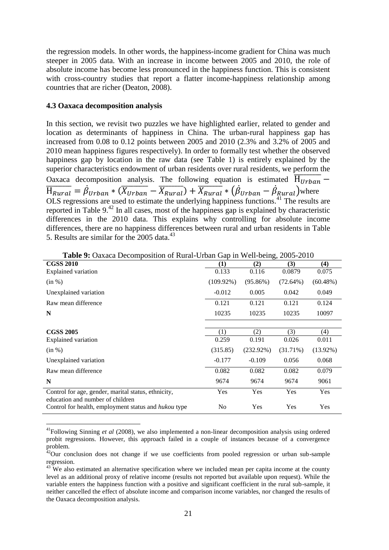the regression models. In other words, the happiness-income gradient for China was much steeper in 2005 data. With an increase in income between 2005 and 2010, the role of absolute income has become less pronounced in the happiness function. This is consistent with cross-country studies that report a flatter income-happiness relationship among countries that are richer (Deaton, 2008).

### **4.3 Oaxaca decomposition analysis**

 $\overline{a}$ 

In this section, we revisit two puzzles we have highlighted earlier, related to gender and location as determinants of happiness in China. The urban-rural happiness gap has increased from 0.08 to 0.12 points between 2005 and 2010 (2.3% and 3.2% of 2005 and 2010 mean happiness figures respectively). In order to formally test whether the observed happiness gap by location in the raw data (see Table 1) is entirely explained by the superior characteristics endowment of urban residents over rural residents, we perform the Oaxaca decomposition analysis. The following equation is estimated  $\overline{H_{Urban}}$  –  $\overline{H_{Rural}} = \dot{\beta}_{Urban} * (\overline{X_{Urban}} - \overline{X_{Rural}}) + \overline{X_{Rural}} * (\dot{\beta}_{Urban} - \dot{\beta}_{Rural})$  where OLS regressions are used to estimate the underlying happiness functions.<sup>41</sup> The results are reported in Table 9.<sup>42</sup> In all cases, most of the happiness gap is explained by characteristic differences in the 2010 data. This explains why controlling for absolute income differences, there are no happiness differences between rural and urban residents in Table 5. Results are similar for the 2005 data.<sup>43</sup>

| <b>Lable 2.</b> Oaxaca Decomposition of Kural-Orban Gap in Wen-being, 2005-2010         |              |              |             |             |  |  |  |  |  |
|-----------------------------------------------------------------------------------------|--------------|--------------|-------------|-------------|--|--|--|--|--|
| <b>CGSS 2010</b>                                                                        | (1)          | (2)          | (3)         | (4)         |  |  |  |  |  |
| <b>Explained variation</b>                                                              | 0.133        | 0.116        | 0.0879      | 0.075       |  |  |  |  |  |
| (in %)                                                                                  | $(109.92\%)$ | $(95.86\%)$  | (72.64%)    | (60.48%)    |  |  |  |  |  |
| Unexplained variation                                                                   | $-0.012$     | 0.005        | 0.042       | 0.049       |  |  |  |  |  |
| Raw mean difference                                                                     | 0.121        | 0.121        | 0.121       | 0.124       |  |  |  |  |  |
| N                                                                                       | 10235        | 10235        | 10235       | 10097       |  |  |  |  |  |
|                                                                                         |              |              |             |             |  |  |  |  |  |
| <b>CGSS 2005</b>                                                                        | (1)          | (2)          | (3)         | (4)         |  |  |  |  |  |
| <b>Explained variation</b>                                                              | 0.259        | 0.191        | 0.026       | 0.011       |  |  |  |  |  |
| (in %)                                                                                  | (315.85)     | $(232.92\%)$ | $(31.71\%)$ | $(13.92\%)$ |  |  |  |  |  |
| Unexplained variation                                                                   | $-0.177$     | $-0.109$     | 0.056       | 0.068       |  |  |  |  |  |
| Raw mean difference                                                                     | 0.082        | 0.082        | 0.082       | 0.079       |  |  |  |  |  |
| N                                                                                       | 9674         | 9674         | 9674        | 9061        |  |  |  |  |  |
| Control for age, gender, marital status, ethnicity,<br>education and number of children | Yes          | Yes          | Yes         | Yes         |  |  |  |  |  |
| Control for health, employment status and <i>hukou</i> type                             | No           | Yes          | Yes         | Yes         |  |  |  |  |  |

**Table 9:** Oaxaca Decomposition of Rural-Urban Gap in Well-being, 2005-2010

<sup>41</sup>Following Sinning *et al* (2008), we also implemented a non-linear decomposition analysis using ordered probit regressions. However, this approach failed in a couple of instances because of a convergence problem.

<sup>&</sup>lt;sup>42</sup>Our conclusion does not change if we use coefficients from pooled regression or urban sub-sample regression.

 $43$  We also estimated an alternative specification where we included mean per capita income at the county level as an additional proxy of relative income (results not reported but available upon request). While the variable enters the happiness function with a positive and significant coefficient in the rural sub-sample, it neither cancelled the effect of absolute income and comparison income variables, nor changed the results of the Oaxaca decomposition analysis.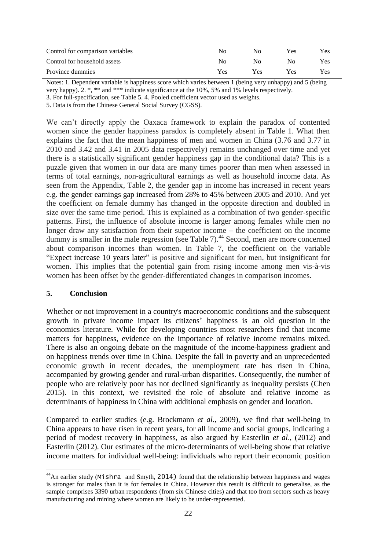| Control for comparison variables | No  | No  | Yes. | <b>Yes</b> |
|----------------------------------|-----|-----|------|------------|
| Control for household assets     | No  | No. | No   | Yes        |
| Province dummies                 | Yes | Yes | Yes  | Yes        |

Notes: 1. Dependent variable is happiness score which varies between 1 (being very unhappy) and 5 (being very happy). 2. \*, \*\* and \*\*\* indicate significance at the 10%, 5% and 1% levels respectively.

3. For full-specification, see Table 5. 4. Pooled coefficient vector used as weights.

5. Data is from the Chinese General Social Survey (CGSS).

We can't directly apply the Oaxaca framework to explain the paradox of contented women since the gender happiness paradox is completely absent in Table 1. What then explains the fact that the mean happiness of men and women in China (3.76 and 3.77 in 2010 and 3.42 and 3.41 in 2005 data respectively) remains unchanged over time and yet there is a statistically significant gender happiness gap in the conditional data? This is a puzzle given that women in our data are many times poorer than men when assessed in terms of total earnings, non-agricultural earnings as well as household income data. As seen from the Appendix, Table 2, the gender gap in income has increased in recent years e.g. the gender earnings gap increased from 28% to 45% between 2005 and 2010. And yet the coefficient on female dummy has changed in the opposite direction and doubled in size over the same time period. This is explained as a combination of two gender-specific patterns. First, the influence of absolute income is larger among females while men no longer draw any satisfaction from their superior income – the coefficient on the income dummy is smaller in the male regression (see Table 7).<sup>44</sup> Second, men are more concerned about comparison incomes than women. In Table 7, the coefficient on the variable "Expect increase 10 years later" is positive and significant for men, but insignificant for women. This implies that the potential gain from rising income among men vis-à-vis women has been offset by the gender-differentiated changes in comparison incomes.

### **5. Conclusion**

 $\overline{a}$ 

Whether or not improvement in a country's macroeconomic conditions and the subsequent growth in private income impact its citizens' happiness is an old question in the economics literature. While for developing countries most researchers find that income matters for happiness, evidence on the importance of relative income remains mixed. There is also an ongoing debate on the magnitude of the income-happiness gradient and on happiness trends over time in China. Despite the fall in poverty and an unprecedented economic growth in recent decades, the unemployment rate has risen in China, accompanied by growing gender and rural-urban disparities. Consequently, the number of people who are relatively poor has not declined significantly as inequality persists (Chen 2015). In this context, we revisited the role of absolute and relative income as determinants of happiness in China with additional emphasis on gender and location.

Compared to earlier studies (e.g. Brockmann *et al*., 2009), we find that well-being in China appears to have risen in recent years, for all income and social groups, indicating a period of modest recovery in happiness, as also argued by Easterlin *et al*., (2012) and Easterlin (2012). Our estimates of the micro-determinants of well-being show that relative income matters for individual well-being: individuals who report their economic position

<sup>&</sup>lt;sup>44</sup>An earlier study (Mishra and Smyth, 2014) found that the relationship between happiness and wages is stronger for males than it is for females in China. However this result is difficult to generalise, as the sample comprises 3390 urban respondents (from six Chinese cities) and that too from sectors such as heavy manufacturing and mining where women are likely to be under-represented.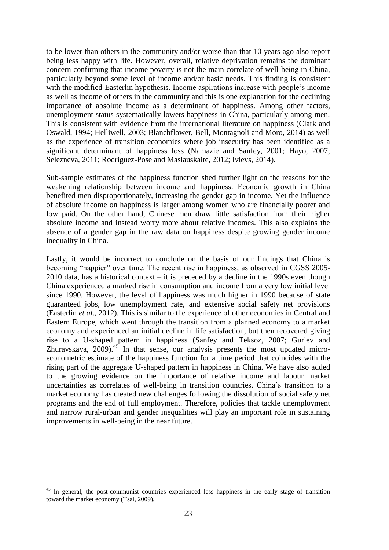to be lower than others in the community and/or worse than that 10 years ago also report being less happy with life. However, overall, relative deprivation remains the dominant concern confirming that income poverty is not the main correlate of well-being in China, particularly beyond some level of income and/or basic needs. This finding is consistent with the modified-Easterlin hypothesis. Income aspirations increase with people's income as well as income of others in the community and this is one explanation for the declining importance of absolute income as a determinant of happiness. Among other factors, unemployment status systematically lowers happiness in China, particularly among men. This is consistent with evidence from the international literature on happiness (Clark and Oswald, 1994; Helliwell, 2003; Blanchflower, Bell, Montagnoli and Moro, 2014) as well as the experience of transition economies where job insecurity has been identified as a significant determinant of happiness loss (Namazie and Sanfey, 2001; Hayo, 2007; Selezneva, 2011; Rodriguez-Pose and Maslauskaite, 2012; Ivlevs, 2014).

Sub-sample estimates of the happiness function shed further light on the reasons for the weakening relationship between income and happiness. Economic growth in China benefited men disproportionately, increasing the gender gap in income. Yet the influence of absolute income on happiness is larger among women who are financially poorer and low paid. On the other hand, Chinese men draw little satisfaction from their higher absolute income and instead worry more about relative incomes. This also explains the absence of a gender gap in the raw data on happiness despite growing gender income inequality in China.

Lastly, it would be incorrect to conclude on the basis of our findings that China is becoming "happier" over time. The recent rise in happiness, as observed in CGSS 2005-  $2010$  data, has a historical context – it is preceded by a decline in the 1990s even though China experienced a marked rise in consumption and income from a very low initial level since 1990. However, the level of happiness was much higher in 1990 because of state guaranteed jobs, low unemployment rate, and extensive social safety net provisions (Easterlin *et al*., 2012). This is similar to the experience of other economies in Central and Eastern Europe, which went through the transition from a planned economy to a market economy and experienced an initial decline in life satisfaction, but then recovered giving rise to a U-shaped pattern in happiness (Sanfey and Teksoz, 2007; Guriev and Zhuravskaya,  $2009$ .<sup>45</sup> In that sense, our analysis presents the most updated microeconometric estimate of the happiness function for a time period that coincides with the rising part of the aggregate U-shaped pattern in happiness in China. We have also added to the growing evidence on the importance of relative income and labour market uncertainties as correlates of well-being in transition countries. China's transition to a market economy has created new challenges following the dissolution of social safety net programs and the end of full employment. Therefore, policies that tackle unemployment and narrow rural-urban and gender inequalities will play an important role in sustaining improvements in well-being in the near future.

 $\overline{a}$ 

<sup>&</sup>lt;sup>45</sup> In general, the post-communist countries experienced less happiness in the early stage of transition toward the market economy (Tsai, 2009).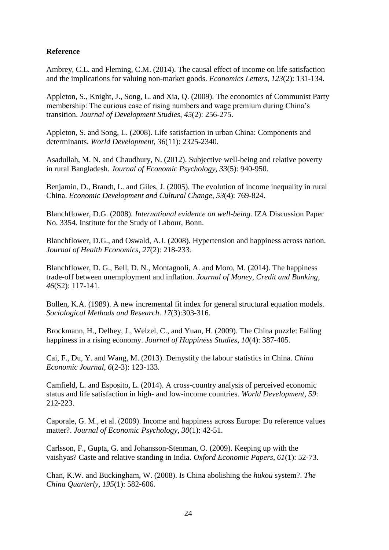# **Reference**

Ambrey, C.L. and Fleming, C.M. (2014). The causal effect of income on life satisfaction and the implications for valuing non-market goods. *Economics Letters*, *123*(2): 131-134.

Appleton, S., Knight, J., Song, L. and Xia, Q. (2009). The economics of Communist Party membership: The curious case of rising numbers and wage premium during China's transition. *Journal of Development Studies*, *45*(2): 256-275.

Appleton, S. and Song, L. (2008). Life satisfaction in urban China: Components and determinants. *World Development*, *36*(11): 2325-2340.

Asadullah, M. N. and Chaudhury, N. (2012). Subjective well-being and relative poverty in rural Bangladesh. *Journal of Economic Psychology*, *33*(5): 940-950.

Benjamin, D., Brandt, L. and Giles, J. (2005). The evolution of income inequality in rural China. *Economic Development and Cultural Change*, *53*(4): 769-824.

Blanchflower, D.G. (2008). *International evidence on well-being*. IZA Discussion Paper No. 3354. Institute for the Study of Labour, Bonn.

Blanchflower, D.G., and Oswald, A.J. (2008). Hypertension and happiness across nation. *Journal of Health Economics*, *27*(2): 218-233.

Blanchflower, D. G., Bell, D. N., Montagnoli, A. and Moro, M. (2014). The happiness trade-off between unemployment and inflation. *Journal of Money, Credit and Banking*, *46*(S2): 117-141.

Bollen, K.A. (1989). A new incremental fit index for general structural equation models. *Sociological Methods and Research*. *17*(3):303-316.

Brockmann, H., Delhey, J., Welzel, C., and Yuan, H. (2009). The China puzzle: Falling happiness in a rising economy. *Journal of Happiness Studies*, *10*(4): 387-405.

Cai, F., Du, Y. and Wang, M. (2013). Demystify the labour statistics in China. *China Economic Journal*, *6*(2-3): 123-133.

Camfield, L. and Esposito, L. (2014). A cross-country analysis of perceived economic status and life satisfaction in high- and low-income countries. *World Development*, *59*: 212-223.

Caporale, G. M., et al. (2009). Income and happiness across Europe: Do reference values matter?. *Journal of Economic Psychology*, *30*(1): 42-51.

Carlsson, F., Gupta, G. and Johansson-Stenman, O. (2009). Keeping up with the vaishyas? Caste and relative standing in India. *Oxford Economic Papers*, *61*(1): 52-73.

Chan, K.W. and Buckingham, W. (2008). Is China abolishing the *hukou* system?. *The China Quarterly*, *195*(1): 582-606.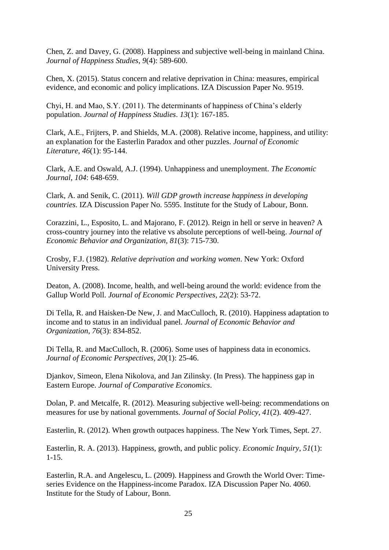Chen, Z. and Davey, G. (2008). Happiness and subjective well-being in mainland China. *Journal of Happiness Studies*, *9*(4): 589-600.

Chen, X. (2015). Status concern and relative deprivation in China: measures, empirical evidence, and economic and policy implications. IZA Discussion Paper No. 9519.

Chyi, H. and Mao, S.Y. (2011). The determinants of happiness of China's elderly population. *Journal of Happiness Studies*. *13*(1): 167-185.

Clark, A.E., Frijters, P. and Shields, M.A. (2008). Relative income, happiness, and utility: an explanation for the Easterlin Paradox and other puzzles. *Journal of Economic Literature*, *46*(1): 95-144.

Clark, A.E. and Oswald, A.J. (1994). Unhappiness and unemployment. *The Economic Journal*, *104*: 648-659.

Clark, A. and Senik, C. (2011). *Will GDP growth increase happiness in developing countries*. IZA Discussion Paper No. 5595. Institute for the Study of Labour, Bonn.

Corazzini, L., Esposito, L. and Majorano, F. (2012). Reign in hell or serve in heaven? A cross-country journey into the relative vs absolute perceptions of well-being. *Journal of Economic Behavior and Organization*, *81*(3): 715-730.

Crosby, F.J. (1982). *Relative deprivation and working women*. New York: Oxford University Press.

Deaton, A. (2008). Income, health, and well-being around the world: evidence from the Gallup World Poll. *Journal of Economic Perspectives*, *22*(2): 53-72.

Di Tella, R. and Haisken-De New, J. and MacCulloch, R. (2010). Happiness adaptation to income and to status in an individual panel. *Journal of Economic Behavior and Organization*, *76*(3): 834-852.

Di Tella, R. and MacCulloch, R. (2006). Some uses of happiness data in economics. *Journal of Economic Perspectives*, *20*(1): 25-46.

Djankov, Simeon, Elena Nikolova, and Jan Zilinsky. (In Press). The happiness gap in Eastern Europe. *Journal of Comparative Economics*.

Dolan, P. and Metcalfe, R. (2012). Measuring subjective well-being: recommendations on measures for use by national governments. *Journal of Social Policy*, *41*(2). 409-427.

Easterlin, R. (2012). When growth outpaces happiness. The New York Times, Sept. 27.

Easterlin, R. A. (2013). Happiness, growth, and public policy. *Economic Inquiry*, *51*(1): 1-15.

Easterlin, R.A. and Angelescu, L. (2009). Happiness and Growth the World Over: Timeseries Evidence on the Happiness-income Paradox. IZA Discussion Paper No. 4060. Institute for the Study of Labour, Bonn.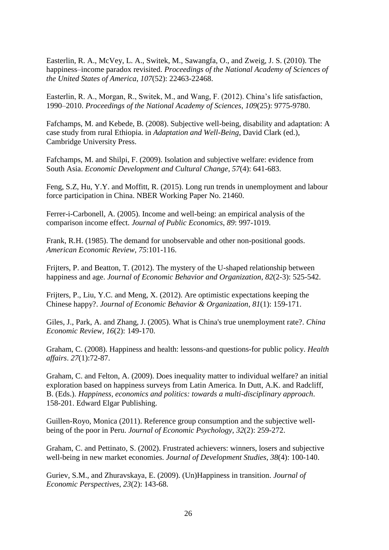Easterlin, R. A., McVey, L. A., Switek, M., Sawangfa, O., and Zweig, J. S. (2010). The happiness–income paradox revisited. *Proceedings of the National Academy of Sciences of the United States of America*, *107*(52): 22463-22468.

Easterlin, R. A., Morgan, R., Switek, M., and Wang, F. (2012). China's life satisfaction, 1990–2010. *Proceedings of the National Academy of Sciences*, *109*(25): 9775-9780.

Fafchamps, M. and Kebede, B. (2008). Subjective well-being, disability and adaptation: A case study from rural Ethiopia. in *Adaptation and Well-Being*, David Clark (ed.), Cambridge University Press.

Fafchamps, M. and Shilpi, F. (2009). Isolation and subjective welfare: evidence from South Asia. *Economic Development and Cultural Change*, *57*(4): 641-683.

Feng, S.Z, Hu, Y.Y. and Moffitt, R. (2015). Long run trends in unemployment and labour force participation in China. NBER Working Paper No. 21460.

Ferrer-i-Carbonell, A. (2005). Income and well-being: an empirical analysis of the comparison income effect. *Journal of Public Economics*, *89*: 997-1019.

Frank, R.H. (1985). The demand for unobservable and other non-positional goods. *American Economic Review*, *75*:101-116.

Frijters, P. and Beatton, T. (2012). The mystery of the U-shaped relationship between happiness and age. *Journal of Economic Behavior and Organization*, *82*(2-3): 525-542.

Frijters, P., Liu, Y.C. and Meng, X. (2012). Are optimistic expectations keeping the Chinese happy?. *Journal of Economic Behavior & Organization*, *81*(1): 159-171.

Giles, J., Park, A. and Zhang, J. (2005). What is China's true unemployment rate?. *China Economic Review*, *16*(2): 149-170.

Graham, C. (2008). Happiness and health: lessons-and questions-for public policy. *Health affairs*. *27*(1):72-87.

Graham, C. and Felton, A. (2009). Does inequality matter to individual welfare? an initial exploration based on happiness surveys from Latin America. In Dutt, A.K. and Radcliff, B. (Eds.). *Happiness, economics and politics: towards a multi-disciplinary approach*. 158-201. Edward Elgar Publishing.

Guillen-Royo, Monica (2011). Reference group consumption and the subjective wellbeing of the poor in Peru. *Journal of Economic Psychology*, *32*(2): 259-272.

Graham, C. and Pettinato, S. (2002). Frustrated achievers: winners, losers and subjective well-being in new market economies. *Journal of Development Studies*, *38*(4): 100-140.

Guriev, S.M., and Zhuravskaya, E. (2009). (Un)Happiness in transition. *Journal of Economic Perspectives*, *23*(2): 143-68.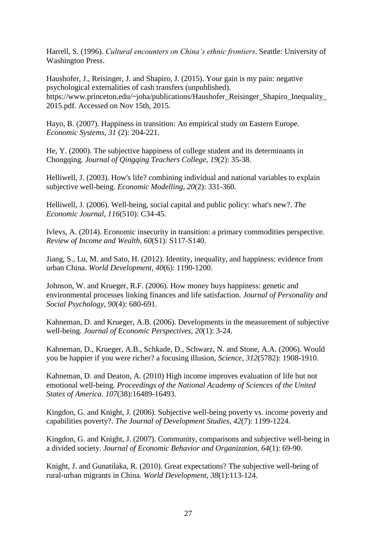Harrell, S. (1996). *Cultural encounters on China's ethnic frontiers*. Seattle: University of Washington Press.

Haushofer, J., Reisinger, J. and Shapiro, J. (2015). Your gain is my pain: negative psychological externalities of cash transfers (unpublished). https://www.princeton.edu/~joha/publications/Haushofer\_Reisinger\_Shapiro\_Inequality\_ 2015.pdf. Accessed on Nov 15th, 2015.

Hayo, B. (2007). Happiness in transition: An empirical study on Eastern Europe. *Economic Systems*, *31* (2): 204-221.

He, Y. (2000). The subjective happiness of college student and its determinants in Chongqing. *Journal of Qingqing Teachers College*, *19*(2): 35-38.

Helliwell, J. (2003). How's life? combining individual and national variables to explain subjective well-being. *Economic Modelling*, *20*(2): 331-360.

Helliwell, J. (2006). Well-being, social capital and public policy: what's new?. *The Economic Journal*, *116*(510): C34-45.

Ivlevs, A. (2014). Economic insecurity in transition: a primary commodities perspective. *Review of Income and Wealth*, *60*(S1): S117-S140.

Jiang, S., Lu, M. and Sato, H. (2012). Identity, inequality, and happiness: evidence from urban China. *World Development*, *40*(6): 1190-1200.

Johnson, W. and Krueger, R.F. (2006). How money buys happiness: genetic and environmental processes linking finances and life satisfaction. *Journal of Personality and Social Psychology*, *90*(4): 680-691.

Kahneman, D. and Krueger, A.B. (2006). Developments in the measurement of subjective well-being. *Journal of Economic Perspectives*, *20*(1): 3-24.

Kahneman, D., Krueger, A.B., Schkade, D., Schwarz, N. and Stone, A.A. (2006). Would you be happier if you were richer? a focusing illusion, *Science*, *312*(5782): 1908-1910.

Kahneman, D. and Deaton, A. (2010) High income improves evaluation of life but not emotional well-being. *Proceedings of the National Academy of Sciences of the United States of America*. *107*(38):16489-16493.

Kingdon, G. and Knight, J. (2006). Subjective well-being poverty vs. income poverty and capabilities poverty?. *The Journal of Development Studies*, *42*(7): 1199-1224.

Kingdon, G. and Knight, J. (2007). Community, comparisons and subjective well-being in a divided society. *Journal of Economic Behavior and Organization*, *64*(1): 69-90.

Knight, J. and Gunatilaka, R. (2010). Great expectations? The subjective well-being of rural-urban migrants in China. *World Development*, *38*(1):113-124.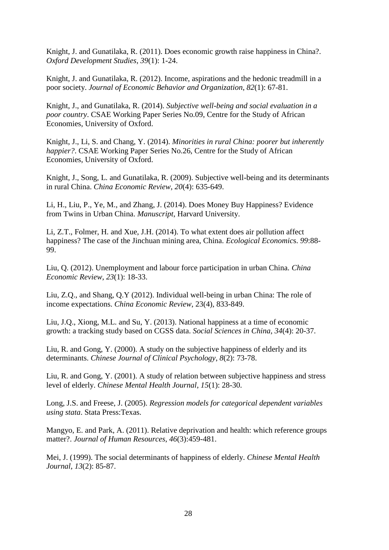Knight, J. and Gunatilaka, R. (2011). Does economic growth raise happiness in China?. *Oxford Development Studies*, *39*(1): 1-24.

Knight, J. and Gunatilaka, R. (2012). Income, aspirations and the hedonic treadmill in a poor society. *Journal of Economic Behavior and Organization*, *82*(1): 67-81.

Knight, J., and Gunatilaka, R. (2014). *Subjective well-being and social evaluation in a poor country*. CSAE Working Paper Series No.09, Centre for the Study of African Economies, University of Oxford.

Knight, J., Li, S. and Chang, Y. (2014). *Minorities in rural China: poorer but inherently happier?*. CSAE Working Paper Series No.26, Centre for the Study of African Economies, University of Oxford.

Knight, J., Song, L. and Gunatilaka, R. (2009). Subjective well-being and its determinants in rural China. *China Economic Review*, *20*(4): 635-649.

Li, H., Liu, P., Ye, M., and Zhang, J. (2014). Does Money Buy Happiness? Evidence from Twins in Urban China. *Manuscript*, Harvard University.

Li, Z.T., Folmer, H. and Xue, J.H. (2014). To what extent does air pollution affect happiness? The case of the Jinchuan mining area, China. *Ecological Economic*s. *99*:88- 99.

Liu, Q. (2012). Unemployment and labour force participation in urban China. *China Economic Review*, *23*(1): 18-33.

Liu, Z.Q., and Shang, Q.Y (2012). Individual well-being in urban China: The role of income expectations. *China Economic Review*, 23(4), 833-849.

Liu, J.Q., Xiong, M.L. and Su, Y. (2013). National happiness at a time of economic growth: a tracking study based on CGSS data. *Social Sciences in China*, *34*(4): 20-37.

Liu, R. and Gong, Y. (2000). A study on the subjective happiness of elderly and its determinants. *Chinese Journal of Clinical Psychology*, *8*(2): 73-78.

Liu, R. and Gong, Y. (2001). A study of relation between subjective happiness and stress level of elderly. *Chinese Mental Health Journal*, *15*(1): 28-30.

Long, J.S. and Freese, J. (2005). *Regression models for categorical dependent variables using stata*. Stata Press:Texas.

Mangyo, E. and Park, A. (2011). Relative deprivation and health: which reference groups matter?. *Journal of Human Resources*, *46*(3):459-481.

Mei, J. (1999). The social determinants of happiness of elderly. *Chinese Mental Health Journal*, *13*(2): 85-87.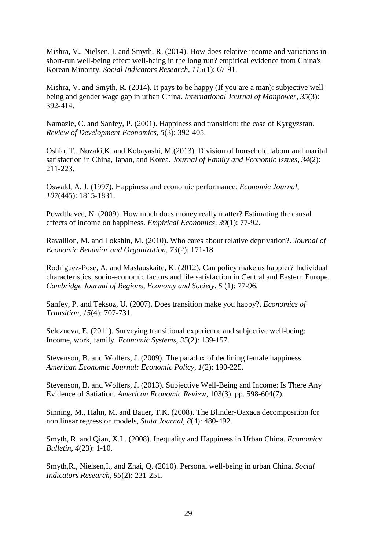Mishra, V., Nielsen, I. and Smyth, R. (2014). How does relative income and variations in short-run well-being effect well-being in the long run? empirical evidence from China's Korean Minority. *Social Indicators Research*, *115*(1): 67-91.

Mishra, V. and Smyth, R. (2014). It pays to be happy (If you are a man): subjective wellbeing and gender wage gap in urban China. *International Journal of Manpower*, *35*(3): 392-414.

Namazie, C. and Sanfey, P. (2001). Happiness and transition: the case of Kyrgyzstan. *Review of Development Economics*, *5*(3): 392-405.

Oshio, T., Nozaki,K. and Kobayashi, M.(2013). Division of household labour and marital satisfaction in China, Japan, and Korea. *Journal of Family and Economic Issues*, *34*(2): 211-223.

Oswald, A. J. (1997). Happiness and economic performance. *Economic Journal*, *107*(445): 1815-1831.

Powdthavee, N. (2009). How much does money really matter? Estimating the causal effects of income on happiness. *Empirical Economics*, *39*(1): 77-92.

Ravallion, M. and Lokshin, M. (2010). Who cares about relative deprivation?. *Journal of Economic Behavior and Organization*, *73*(2): 171-18

Rodriguez-Pose, A. and Maslauskaite, K. (2012). Can policy make us happier? Individual characteristics, socio-economic factors and life satisfaction in Central and Eastern Europe. *Cambridge Journal of Regions, Economy and Society*, *5* (1): 77-96.

Sanfey, P. and Teksoz, U. (2007). Does transition make you happy?. *Economics of Transition*, *15*(4): 707-731.

Selezneva, E. (2011). Surveying transitional experience and subjective well-being: Income, work, family. *Economic Systems*, *35*(2): 139-157.

Stevenson, B. and Wolfers, J. (2009). The paradox of declining female happiness. *American Economic Journal: Economic Policy*, *1*(2): 190-225.

Stevenson, B. and Wolfers, J. (2013). Subjective Well-Being and Income: Is There Any Evidence of Satiation. *American Economic Review*, 103(3), pp. 598-604(7).

Sinning, M., Hahn, M. and Bauer, T.K. (2008). The Blinder-Oaxaca decomposition for non linear regression models, *Stata Journal*, *8*(4): 480-492.

Smyth, R. and Qian, X.L. (2008). Inequality and Happiness in Urban China. *Economics Bulletin*, *4*(23): 1-10.

Smyth,R., Nielsen,I., and Zhai, Q. (2010). Personal well-being in urban China. *Social Indicators Research*, *95*(2): 231-251.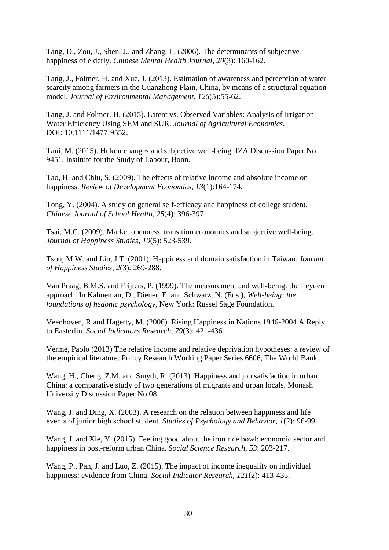Tang, D., Zou, J., Shen, J., and Zhang, L. (2006). The determinants of subjective happiness of elderly. *Chinese Mental Health Journal*, *20*(3): 160-162.

Tang, J., Folmer, H. and Xue, J. (2013). Estimation of awareness and perception of water scarcity among farmers in the Guanzhong Plain, China, by means of a structural equation model. *Journal of Environmental Management*. *126*(5):55-62.

Tang, J. and Folmer, H. (2015). Latent vs. Observed Variables: Analysis of Irrigation Water Efficiency Using SEM and SUR. *Journal of Agricultural Economics*. DOI: 10.1111/1477-9552.

Tani, M. (2015). Hukou changes and subjective well-being. IZA Discussion Paper No. 9451. Institute for the Study of Labour, Bonn.

Tao, H. and Chiu, S. (2009). The effects of relative income and absolute income on happiness. *Review of Development Economic*s, *13*(1):164-174.

Tong, Y. (2004). A study on general self-efficacy and happiness of college student. *Chinese Journal of School Health*, *25*(4): 396-397.

Tsai, M.C. (2009). Market openness, transition economies and subjective well-being. *Journal of Happiness Studies*, *10*(5): 523-539.

Tsou, M.W. and Liu, J.T. (2001). Happiness and domain satisfaction in Taiwan. *Journal of Happiness Studies*, *2*(3): 269-288.

Van Praag, B.M.S. and Frijters, P. (1999). The measurement and well-being: the Leyden approach. In Kahneman, D., Diener, E. and Schwarz, N. (Eds.), *Well-being: the foundations of hedonic psychology*, New York: Russel Sage Foundation.

Veenhoven, R and Hagerty, M. (2006). Rising Happiness in Nations 1946-2004 A Reply to Easterlin. *Social Indicators Research*, *79*(3): 421-436.

Verme, Paolo (2013) The relative income and relative deprivation hypotheses: a review of the empirical literature. Policy Research Working Paper Series 6606, The World Bank.

Wang, H., Cheng, Z.M. and Smyth, R. (2013). Happiness and job satisfaction in urban China: a comparative study of two generations of migrants and urban locals. Monash University Discussion Paper No.08.

Wang, J. and Ding, X. (2003). A research on the relation between happiness and life events of junior high school student. *Studies of Psychology and Behavior*, *1*(2): 96-99.

Wang, J. and Xie, Y. (2015). Feeling good about the iron rice bowl: economic sector and happiness in post-reform urban China. *Social Science Research*, *53*: 203-217.

Wang, P., Pan, J. and Luo, Z. (2015). The impact of income inequality on individual happiness: evidence from China. *Social Indicator Research*, *121*(2): 413-435.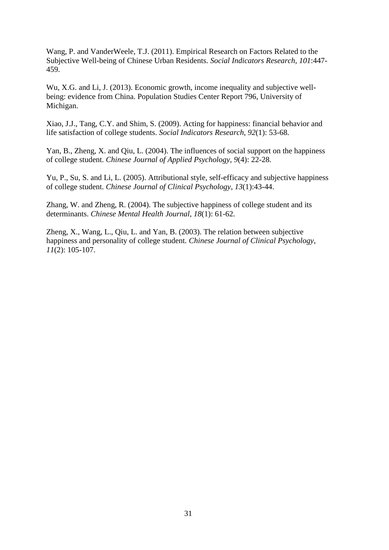Wang, P. and VanderWeele, T.J. (2011). Empirical Research on Factors Related to the Subjective Well-being of Chinese Urban Residents. *Social Indicators Research*, *101*:447- 459.

Wu, X.G. and Li, J. (2013). Economic growth, income inequality and subjective wellbeing: evidence from China. Population Studies Center Report 796, University of Michigan.

Xiao, J.J., Tang, C.Y. and Shim, S. (2009). Acting for happiness: financial behavior and life satisfaction of college students. *Social Indicators Research*, *92*(1): 53-68.

Yan, B., Zheng, X. and Qiu, L. (2004). The influences of social support on the happiness of college student. *Chinese Journal of Applied Psychology*, *9*(4): 22-28.

Yu, P., Su, S. and Li, L. (2005). Attributional style, self-efficacy and subjective happiness of college student. *Chinese Journal of Clinical Psychology*, *13*(1):43-44.

Zhang, W. and Zheng, R. (2004). The subjective happiness of college student and its determinants. *Chinese Mental Health Journal*, *18*(1): 61-62.

Zheng, X., Wang, L., Qiu, L. and Yan, B. (2003). The relation between subjective happiness and personality of college student. *Chinese Journal of Clinical Psychology*, *11*(2): 105-107.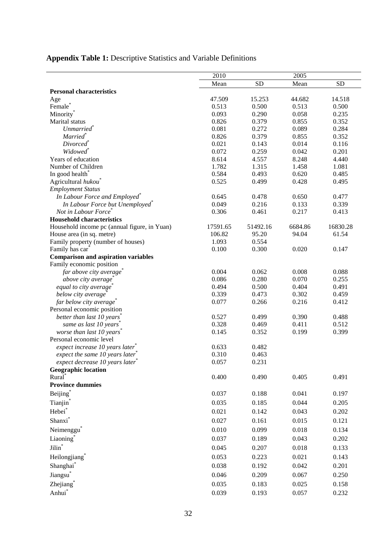| <b>Appendix Table 1:</b> Descriptive Statistics and Variable Definitions |  |
|--------------------------------------------------------------------------|--|
|--------------------------------------------------------------------------|--|

|                                                                  | 2010     |           | 2005    |           |
|------------------------------------------------------------------|----------|-----------|---------|-----------|
|                                                                  | Mean     | <b>SD</b> | Mean    | <b>SD</b> |
| <b>Personal characteristics</b>                                  |          |           |         |           |
| Age                                                              | 47.509   | 15.253    | 44.682  | 14.518    |
| Female <sup>®</sup>                                              | 0.513    | 0.500     | 0.513   | 0.500     |
| Minority <sup>®</sup>                                            | 0.093    | 0.290     | 0.058   | 0.235     |
| Marital status                                                   | 0.826    | 0.379     | 0.855   | 0.352     |
| <b>Unmarried</b>                                                 | 0.081    | 0.272     | 0.089   | 0.284     |
| Married <sup>®</sup>                                             | 0.826    | 0.379     | 0.855   | 0.352     |
| Divorced <sup>®</sup>                                            | 0.021    | 0.143     | 0.014   | 0.116     |
| Widowed <sup>*</sup>                                             | 0.072    | 0.259     | 0.042   | 0.201     |
| Years of education                                               | 8.614    | 4.557     | 8.248   | 4.440     |
| Number of Children                                               | 1.782    | 1.315     | 1.458   | 1.081     |
| In good health <sup>*</sup>                                      | 0.584    | 0.493     | 0.620   | 0.485     |
| Agricultural hukou                                               | 0.525    | 0.499     | 0.428   | 0.495     |
| <b>Employment Status</b>                                         |          |           |         |           |
| In Labour Force and Employed <sup>®</sup>                        | 0.645    | 0.478     | 0.650   | 0.477     |
| In Labour Force but Unemployed <sup>*</sup>                      | 0.049    | 0.216     | 0.133   | 0.339     |
| Not in Labour Force                                              | 0.306    | 0.461     | 0.217   | 0.413     |
| <b>Household characteristics</b>                                 |          |           |         |           |
| Household income pc (annual figure, in Yuan)                     | 17591.65 | 51492.16  | 6684.86 | 16830.28  |
| House area (in sq. metre)                                        | 106.82   | 95.20     | 94.04   | 61.54     |
| Family property (number of houses)                               | 1.093    | 0.554     |         |           |
| Family has car                                                   | 0.100    | 0.300     | 0.020   | 0.147     |
| <b>Comparison and aspiration variables</b>                       |          |           |         |           |
| Family economic position                                         | 0.004    | 0.062     |         |           |
| far above city average                                           |          |           | 0.008   | 0.088     |
| above city average                                               | 0.086    | 0.280     | 0.070   | 0.255     |
| equal to city average                                            | 0.494    | 0.500     | 0.404   | 0.491     |
| below city average                                               | 0.339    | 0.473     | 0.302   | 0.459     |
| far below city average                                           | 0.077    | 0.266     | 0.216   | 0.412     |
| Personal economic position                                       | 0.527    |           |         |           |
| better than last 10 years                                        |          | 0.499     | 0.390   | 0.488     |
| same as last 10 years                                            | 0.328    | 0.469     | 0.411   | 0.512     |
| worse than last 10 years<br>Personal economic level              | 0.145    | 0.352     | 0.199   | 0.399     |
|                                                                  | 0.633    | 0.482     |         |           |
| expect increase 10 years later<br>expect the same 10 years later | 0.310    | 0.463     |         |           |
|                                                                  | 0.057    |           |         |           |
| expect decrease 10 years later                                   |          | 0.231     |         |           |
| <b>Geographic location</b><br>Rural <sup>*</sup>                 | 0.400    | 0.490     | 0.405   | 0.491     |
| <b>Province dummies</b>                                          |          |           |         |           |
| Beijing <sup>*</sup>                                             | 0.037    | 0.188     | 0.041   | 0.197     |
|                                                                  |          |           |         |           |
| Tianjin*                                                         | 0.035    | 0.185     | 0.044   | 0.205     |
| Hebei <sup>*</sup>                                               | 0.021    | 0.142     | 0.043   | 0.202     |
| Shanxi <sup>*</sup>                                              | 0.027    | 0.161     | 0.015   | 0.121     |
| Neimenggu                                                        | 0.010    | 0.099     | 0.018   | 0.134     |
| Liaoning <sup>*</sup>                                            | 0.037    | 0.189     | 0.043   | 0.202     |
| Jilin <sup>*</sup>                                               | 0.045    | 0.207     | 0.018   | 0.133     |
| Heilongjiang <sup>*</sup>                                        | 0.053    | 0.223     | 0.021   | 0.143     |
| Shanghai*                                                        | 0.038    | 0.192     | 0.042   | 0.201     |
| Jiangsu <sup>*</sup>                                             | 0.046    | 0.209     | 0.067   | 0.250     |
| Zhejiang <sup>*</sup>                                            | 0.035    | 0.183     | 0.025   | 0.158     |
| Anhui <sup>*</sup>                                               | 0.039    | 0.193     | 0.057   | 0.232     |
|                                                                  |          |           |         |           |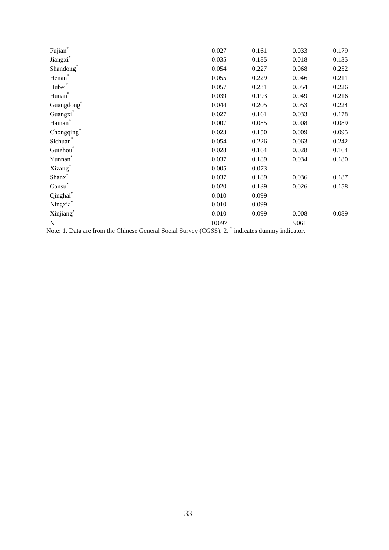| $\operatorname{Fujian}^*$ | 0.027 | 0.161 | 0.033 | 0.179 |
|---------------------------|-------|-------|-------|-------|
| Jiangxi*                  | 0.035 | 0.185 | 0.018 | 0.135 |
| Shandong*                 | 0.054 | 0.227 | 0.068 | 0.252 |
| Henan <sup>*</sup>        | 0.055 | 0.229 | 0.046 | 0.211 |
| Hubei <sup>*</sup>        | 0.057 | 0.231 | 0.054 | 0.226 |
| $\operatorname{Hunan}^*$  | 0.039 | 0.193 | 0.049 | 0.216 |
| Guangdong <sup>*</sup>    | 0.044 | 0.205 | 0.053 | 0.224 |
| Guangxi*                  | 0.027 | 0.161 | 0.033 | 0.178 |
| Hainan <sup>*</sup>       | 0.007 | 0.085 | 0.008 | 0.089 |
| Chongqing*                | 0.023 | 0.150 | 0.009 | 0.095 |
| Sichuan <sup>®</sup>      | 0.054 | 0.226 | 0.063 | 0.242 |
| Guizhou <sup>*</sup>      | 0.028 | 0.164 | 0.028 | 0.164 |
| Yunnan                    | 0.037 | 0.189 | 0.034 | 0.180 |
| Xizang <sup>®</sup>       | 0.005 | 0.073 |       |       |
| Shanx <sup>®</sup>        | 0.037 | 0.189 | 0.036 | 0.187 |
| $\mathrm{Gansu}^*$        | 0.020 | 0.139 | 0.026 | 0.158 |
| Qinghai*                  | 0.010 | 0.099 |       |       |
| Ningxia <sup>*</sup>      | 0.010 | 0.099 |       |       |
| Xinjiang*                 | 0.010 | 0.099 | 0.008 | 0.089 |
| N                         | 10097 |       | 9061  |       |

Note: 1. Data are from the Chinese General Social Survey (CGSS). 2. <sup>\*</sup> indicates dummy indicator.